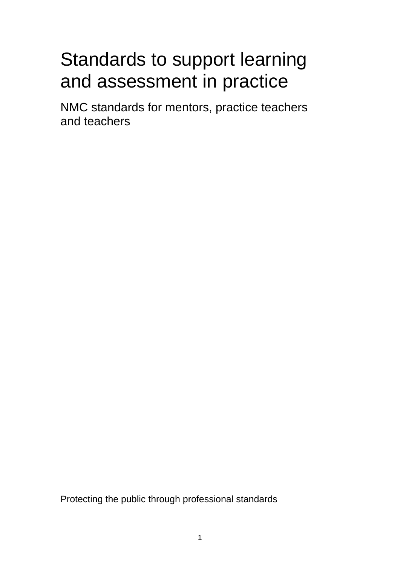# Standards to support learning and assessment in practice

NMC standards for mentors, practice teachers and teachers

Protecting the public through professional standards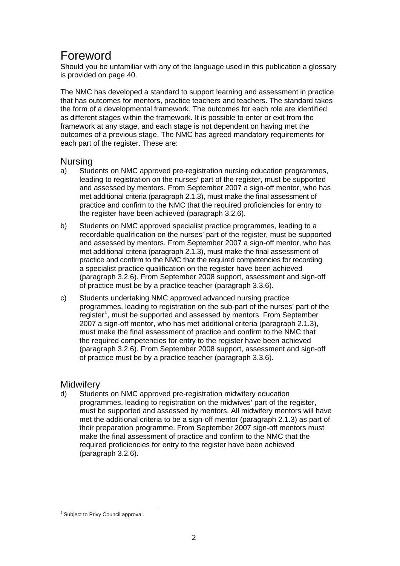# <span id="page-1-0"></span>Foreword

Should you be unfamiliar with any of the language used in this publication a glossary is provided on page 40.

The NMC has developed a standard to support learning and assessment in practice that has outcomes for mentors, practice teachers and teachers. The standard takes the form of a developmental framework. The outcomes for each role are identified as different stages within the framework. It is possible to enter or exit from the framework at any stage, and each stage is not dependent on having met the outcomes of a previous stage. The NMC has agreed mandatory requirements for each part of the register. These are:

# Nursing

- a) Students on NMC approved pre-registration nursing education programmes, leading to registration on the nurses' part of the register, must be supported and assessed by mentors. From September 2007 a sign-off mentor, who has met additional criteria (paragraph 2.1.3), must make the final assessment of practice and confirm to the NMC that the required proficiencies for entry to the register have been achieved (paragraph 3.2.6).
- b) Students on NMC approved specialist practice programmes, leading to a recordable qualification on the nurses' part of the register, must be supported and assessed by mentors. From September 2007 a sign-off mentor, who has met additional criteria (paragraph 2.1.3), must make the final assessment of practice and confirm to the NMC that the required competencies for recording a specialist practice qualification on the register have been achieved (paragraph 3.2.6). From September 2008 support, assessment and sign-off of practice must be by a practice teacher (paragraph 3.3.6).
- c) Students undertaking NMC approved advanced nursing practice programmes, leading to registration on the sub-part of the nurses' part of the register<sup>[1](#page-1-0)</sup>, must be supported and assessed by mentors. From September 2007 a sign-off mentor, who has met additional criteria (paragraph 2.1.3), must make the final assessment of practice and confirm to the NMC that the required competencies for entry to the register have been achieved (paragraph 3.2.6). From September 2008 support, assessment and sign-off of practice must be by a practice teacher (paragraph 3.3.6).

# **Midwifery**

d) Students on NMC approved pre-registration midwifery education programmes, leading to registration on the midwives' part of the register, must be supported and assessed by mentors. All midwifery mentors will have met the additional criteria to be a sign-off mentor (paragraph 2.1.3) as part of their preparation programme. From September 2007 sign-off mentors must make the final assessment of practice and confirm to the NMC that the required proficiencies for entry to the register have been achieved (paragraph 3.2.6).

 1 Subject to Privy Council approval.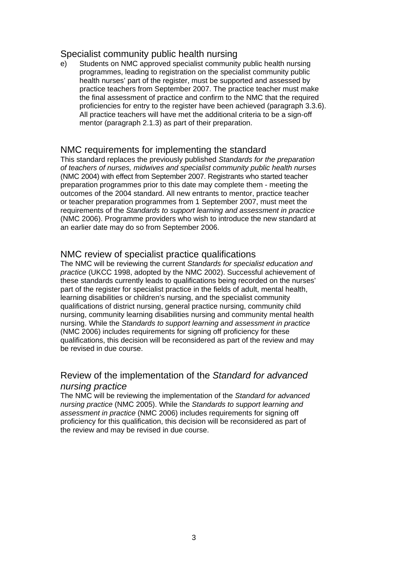# Specialist community public health nursing

e) Students on NMC approved specialist community public health nursing programmes, leading to registration on the specialist community public health nurses' part of the register, must be supported and assessed by practice teachers from September 2007. The practice teacher must make the final assessment of practice and confirm to the NMC that the required proficiencies for entry to the register have been achieved (paragraph 3.3.6). All practice teachers will have met the additional criteria to be a sign-off mentor (paragraph 2.1.3) as part of their preparation.

# NMC requirements for implementing the standard

This standard replaces the previously published *Standards for the preparation of teachers of nurses, midwives and specialist community public health nurses* (NMC 2004) with effect from September 2007. Registrants who started teacher preparation programmes prior to this date may complete them - meeting the outcomes of the 2004 standard. All new entrants to mentor, practice teacher or teacher preparation programmes from 1 September 2007, must meet the requirements of the *Standards to support learning and assessment in practice* (NMC 2006). Programme providers who wish to introduce the new standard at an earlier date may do so from September 2006.

### NMC review of specialist practice qualifications

The NMC will be reviewing the current *Standards for specialist education and practice* (UKCC 1998, adopted by the NMC 2002). Successful achievement of these standards currently leads to qualifications being recorded on the nurses' part of the register for specialist practice in the fields of adult, mental health, learning disabilities or children's nursing, and the specialist community qualifications of district nursing, general practice nursing, community child nursing, community learning disabilities nursing and community mental health nursing. While the *Standards to support learning and assessment in practice*  (NMC 2006) includes requirements for signing off proficiency for these qualifications, this decision will be reconsidered as part of the review and may be revised in due course.

# Review of the implementation of the *Standard for advanced nursing practice*

The NMC will be reviewing the implementation of the *Standard for advanced nursing practice* (NMC 2005). While the *Standards to support learning and assessment in practice* (NMC 2006) includes requirements for signing off proficiency for this qualification, this decision will be reconsidered as part of the review and may be revised in due course.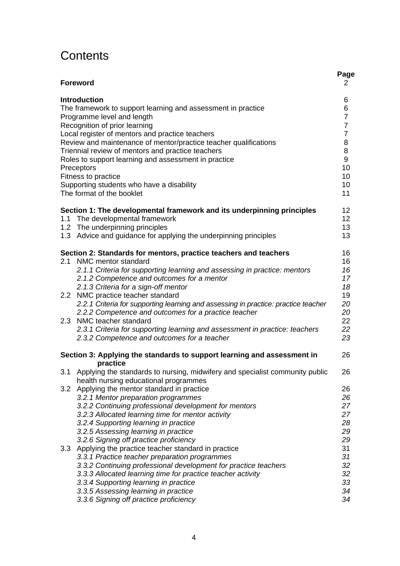# **Contents**

|     |                                                                                                                           | Page           |
|-----|---------------------------------------------------------------------------------------------------------------------------|----------------|
|     | <b>Foreword</b>                                                                                                           | 2              |
|     | <b>Introduction</b>                                                                                                       | 6              |
|     | The framework to support learning and assessment in practice                                                              | 6              |
|     | Programme level and length                                                                                                | $\overline{7}$ |
|     | Recognition of prior learning                                                                                             | $\overline{7}$ |
|     | Local register of mentors and practice teachers                                                                           | $\overline{7}$ |
|     | Review and maintenance of mentor/practice teacher qualifications                                                          | 8              |
|     | Triennial review of mentors and practice teachers                                                                         | 8              |
|     | Roles to support learning and assessment in practice                                                                      | 9              |
|     | Preceptors                                                                                                                | 10             |
|     | Fitness to practice                                                                                                       | 10             |
|     |                                                                                                                           | 10             |
|     | Supporting students who have a disability<br>The format of the booklet                                                    | 11             |
|     |                                                                                                                           |                |
|     | Section 1: The developmental framework and its underpinning principles                                                    | 12             |
|     | 1.1 The developmental framework                                                                                           | 12             |
|     | 1.2 The underpinning principles                                                                                           | 13             |
|     | 1.3 Advice and guidance for applying the underpinning principles                                                          | 13             |
|     | Section 2: Standards for mentors, practice teachers and teachers                                                          | 16             |
| 2.1 | NMC mentor standard                                                                                                       | 16             |
|     | 2.1.1 Criteria for supporting learning and assessing in practice: mentors                                                 | 16             |
|     | 2.1.2 Competence and outcomes for a mentor                                                                                | 17             |
|     | 2.1.3 Criteria for a sign-off mentor                                                                                      | 18             |
|     | 2.2 NMC practice teacher standard                                                                                         | 19             |
|     | 2.2.1 Criteria for supporting learning and assessing in practice: practice teacher                                        | 20             |
|     | 2.2.2 Competence and outcomes for a practice teacher                                                                      | 20             |
|     | 2.3 NMC teacher standard                                                                                                  | 22             |
|     | 2.3.1 Criteria for supporting learning and assessment in practice: teachers                                               | 22             |
|     | 2.3.2 Competence and outcomes for a teacher                                                                               | 23             |
|     | Section 3: Applying the standards to support learning and assessment in                                                   | 26             |
|     | practice                                                                                                                  |                |
|     | 3.1 Applying the standards to nursing, midwifery and specialist community public<br>health nursing educational programmes | 26             |
|     |                                                                                                                           | 26             |
|     | 3.2 Applying the mentor standard in practice                                                                              | 26             |
|     | 3.2.1 Mentor preparation programmes<br>3.2.2 Continuing professional development for mentors                              | 27             |
|     |                                                                                                                           | 27             |
|     | 3.2.3 Allocated learning time for mentor activity                                                                         |                |
|     | 3.2.4 Supporting learning in practice                                                                                     | 28             |
|     | 3.2.5 Assessing learning in practice                                                                                      | 29             |
|     | 3.2.6 Signing off practice proficiency                                                                                    | 29             |
| 3.3 | Applying the practice teacher standard in practice                                                                        | 31             |
|     | 3.3.1 Practice teacher preparation programmes                                                                             | 31             |
|     | 3.3.2 Continuing professional development for practice teachers                                                           | 32             |
|     | 3.3.3 Allocated learning time for practice teacher activity                                                               | 32             |
|     | 3.3.4 Supporting learning in practice                                                                                     | 33             |
|     | 3.3.5 Assessing learning in practice                                                                                      | 34             |
|     | 3.3.6 Signing off practice proficiency                                                                                    | 34             |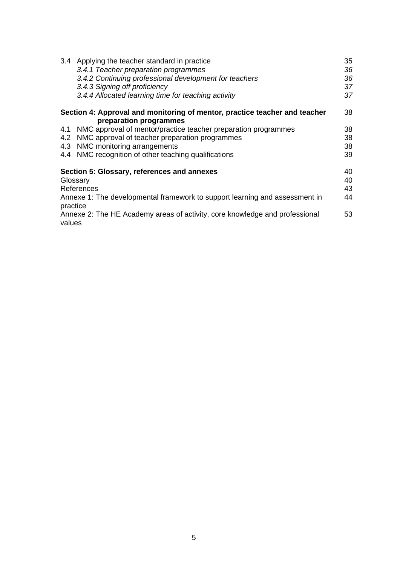| 3.4                                                                                         | Applying the teacher standard in practice<br>3.4.1 Teacher preparation programmes<br>3.4.2 Continuing professional development for teachers<br>3.4.3 Signing off proficiency<br>3.4.4 Allocated learning time for teaching activity | 35<br>36<br>36<br>37<br>37 |
|---------------------------------------------------------------------------------------------|-------------------------------------------------------------------------------------------------------------------------------------------------------------------------------------------------------------------------------------|----------------------------|
|                                                                                             | Section 4: Approval and monitoring of mentor, practice teacher and teacher<br>preparation programmes                                                                                                                                | 38                         |
| 4.1                                                                                         | NMC approval of mentor/practice teacher preparation programmes                                                                                                                                                                      | 38                         |
| 4.2                                                                                         | NMC approval of teacher preparation programmes                                                                                                                                                                                      | 38                         |
| 4.3                                                                                         | NMC monitoring arrangements                                                                                                                                                                                                         | 38                         |
| 4.4                                                                                         | NMC recognition of other teaching qualifications                                                                                                                                                                                    | 39                         |
| Glossary                                                                                    | Section 5: Glossary, references and annexes<br>References                                                                                                                                                                           | 40<br>40<br>43             |
| practice                                                                                    | Annexe 1: The developmental framework to support learning and assessment in                                                                                                                                                         | 44                         |
| Annexe 2: The HE Academy areas of activity, core knowledge and professional<br>53<br>values |                                                                                                                                                                                                                                     |                            |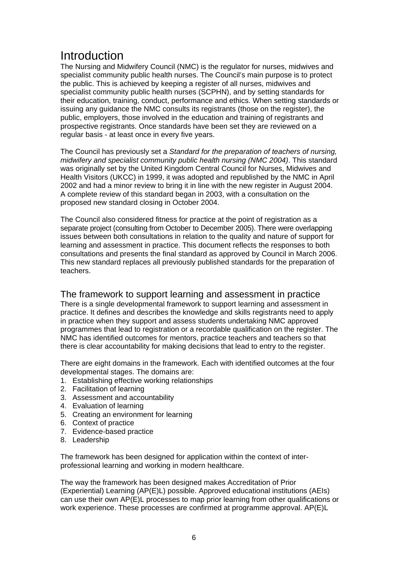# **Introduction**

The Nursing and Midwifery Council (NMC) is the regulator for nurses, midwives and specialist community public health nurses. The Council's main purpose is to protect the public. This is achieved by keeping a register of all nurses, midwives and specialist community public health nurses (SCPHN), and by setting standards for their education, training, conduct, performance and ethics. When setting standards or issuing any guidance the NMC consults its registrants (those on the register), the public, employers, those involved in the education and training of registrants and prospective registrants. Once standards have been set they are reviewed on a regular basis - at least once in every five years.

The Council has previously set a *Standard for the preparation of teachers of nursing, midwifery and specialist community public health nursing (NMC 2004)*. This standard was originally set by the United Kingdom Central Council for Nurses, Midwives and Health Visitors (UKCC) in 1999, it was adopted and republished by the NMC in April 2002 and had a minor review to bring it in line with the new register in August 2004. A complete review of this standard began in 2003, with a consultation on the proposed new standard closing in October 2004.

The Council also considered fitness for practice at the point of registration as a separate project (consulting from October to December 2005). There were overlapping issues between both consultations in relation to the quality and nature of support for learning and assessment in practice. This document reflects the responses to both consultations and presents the final standard as approved by Council in March 2006. This new standard replaces all previously published standards for the preparation of teachers.

The framework to support learning and assessment in practice

There is a single developmental framework to support learning and assessment in practice. It defines and describes the knowledge and skills registrants need to apply in practice when they support and assess students undertaking NMC approved programmes that lead to registration or a recordable qualification on the register. The NMC has identified outcomes for mentors, practice teachers and teachers so that there is clear accountability for making decisions that lead to entry to the register.

There are eight domains in the framework. Each with identified outcomes at the four developmental stages. The domains are:

- 1. Establishing effective working relationships
- 2. Facilitation of learning
- 3. Assessment and accountability
- 4. Evaluation of learning
- 5. Creating an environment for learning
- 6. Context of practice
- 7. Evidence-based practice
- 8. Leadership

The framework has been designed for application within the context of interprofessional learning and working in modern healthcare.

The way the framework has been designed makes Accreditation of Prior (Experiential) Learning (AP(E)L) possible. Approved educational institutions (AEIs) can use their own AP(E)L processes to map prior learning from other qualifications or work experience. These processes are confirmed at programme approval. AP(E)L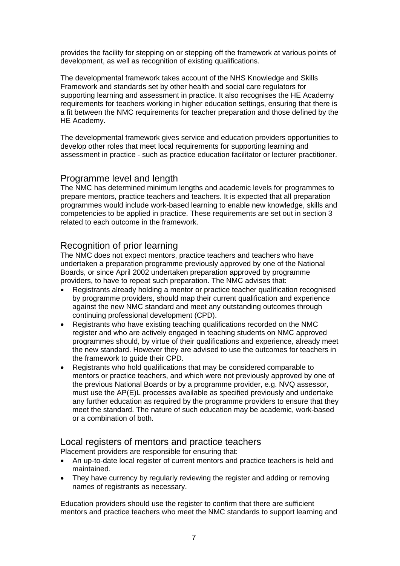provides the facility for stepping on or stepping off the framework at various points of development, as well as recognition of existing qualifications.

The developmental framework takes account of the NHS Knowledge and Skills Framework and standards set by other health and social care regulators for supporting learning and assessment in practice. It also recognises the HE Academy requirements for teachers working in higher education settings, ensuring that there is a fit between the NMC requirements for teacher preparation and those defined by the HE Academy.

The developmental framework gives service and education providers opportunities to develop other roles that meet local requirements for supporting learning and assessment in practice - such as practice education facilitator or lecturer practitioner.

#### Programme level and length

The NMC has determined minimum lengths and academic levels for programmes to prepare mentors, practice teachers and teachers. It is expected that all preparation programmes would include work-based learning to enable new knowledge, skills and competencies to be applied in practice. These requirements are set out in section 3 related to each outcome in the framework.

#### Recognition of prior learning

The NMC does not expect mentors, practice teachers and teachers who have undertaken a preparation programme previously approved by one of the National Boards, or since April 2002 undertaken preparation approved by programme providers, to have to repeat such preparation. The NMC advises that:

- Registrants already holding a mentor or practice teacher qualification recognised by programme providers, should map their current qualification and experience against the new NMC standard and meet any outstanding outcomes through continuing professional development (CPD).
- Registrants who have existing teaching qualifications recorded on the NMC register and who are actively engaged in teaching students on NMC approved programmes should, by virtue of their qualifications and experience, already meet the new standard. However they are advised to use the outcomes for teachers in the framework to guide their CPD.
- Registrants who hold qualifications that may be considered comparable to mentors or practice teachers, and which were not previously approved by one of the previous National Boards or by a programme provider, e.g. NVQ assessor, must use the AP(E)L processes available as specified previously and undertake any further education as required by the programme providers to ensure that they meet the standard. The nature of such education may be academic, work-based or a combination of both.

#### Local registers of mentors and practice teachers

Placement providers are responsible for ensuring that:

- An up-to-date local register of current mentors and practice teachers is held and maintained.
- They have currency by regularly reviewing the register and adding or removing names of registrants as necessary.

Education providers should use the register to confirm that there are sufficient mentors and practice teachers who meet the NMC standards to support learning and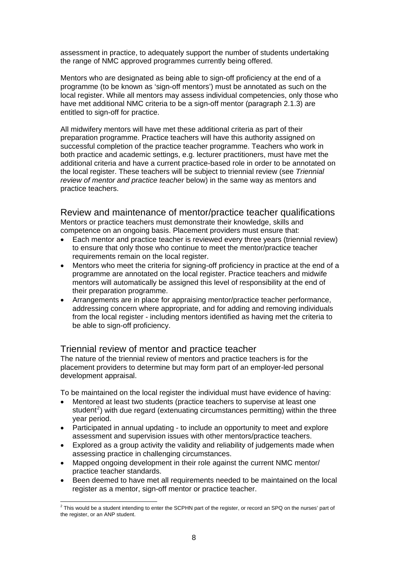<span id="page-7-0"></span>assessment in practice, to adequately support the number of students undertaking the range of NMC approved programmes currently being offered.

Mentors who are designated as being able to sign-off proficiency at the end of a programme (to be known as 'sign-off mentors') must be annotated as such on the local register. While all mentors may assess individual competencies, only those who have met additional NMC criteria to be a sign-off mentor (paragraph 2.1.3) are entitled to sign-off for practice.

All midwifery mentors will have met these additional criteria as part of their preparation programme. Practice teachers will have this authority assigned on successful completion of the practice teacher programme. Teachers who work in both practice and academic settings, e.g. lecturer practitioners, must have met the additional criteria and have a current practice-based role in order to be annotated on the local register. These teachers will be subject to triennial review (see *Triennial review of mentor and practice teacher* below) in the same way as mentors and practice teachers.

Review and maintenance of mentor/practice teacher qualifications Mentors or practice teachers must demonstrate their knowledge, skills and competence on an ongoing basis. Placement providers must ensure that:

- Each mentor and practice teacher is reviewed every three years (triennial review) to ensure that only those who continue to meet the mentor/practice teacher requirements remain on the local register.
- Mentors who meet the criteria for signing-off proficiency in practice at the end of a programme are annotated on the local register. Practice teachers and midwife mentors will automatically be assigned this level of responsibility at the end of their preparation programme.
- Arrangements are in place for appraising mentor/practice teacher performance, addressing concern where appropriate, and for adding and removing individuals from the local register - including mentors identified as having met the criteria to be able to sign-off proficiency.

#### Triennial review of mentor and practice teacher

The nature of the triennial review of mentors and practice teachers is for the placement providers to determine but may form part of an employer-led personal development appraisal.

To be maintained on the local register the individual must have evidence of having:

- Mentored at least two students (practice teachers to supervise at least one student<sup>[2](#page-7-0)</sup>) with due regard (extenuating circumstances permitting) within the three year period.
- Participated in annual updating to include an opportunity to meet and explore assessment and supervision issues with other mentors/practice teachers.
- Explored as a group activity the validity and reliability of judgements made when assessing practice in challenging circumstances.
- Mapped ongoing development in their role against the current NMC mentor/ practice teacher standards.
- Been deemed to have met all requirements needed to be maintained on the local register as a mentor, sign-off mentor or practice teacher.

 2 This would be a student intending to enter the SCPHN part of the register, or record an SPQ on the nurses' part of the register, or an ANP student.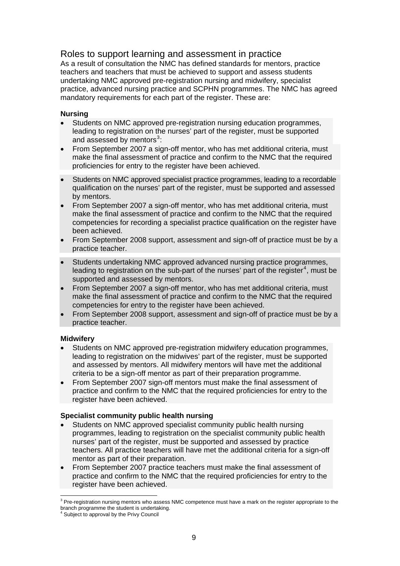# <span id="page-8-0"></span>Roles to support learning and assessment in practice

As a result of consultation the NMC has defined standards for mentors, practice teachers and teachers that must be achieved to support and assess students undertaking NMC approved pre-registration nursing and midwifery, specialist practice, advanced nursing practice and SCPHN programmes. The NMC has agreed mandatory requirements for each part of the register. These are:

#### **Nursing**

- Students on NMC approved pre-registration nursing education programmes, leading to registration on the nurses' part of the register, must be supported and assessed by mentors $3$ :
- From September 2007 a sign-off mentor, who has met additional criteria, must make the final assessment of practice and confirm to the NMC that the required proficiencies for entry to the register have been achieved.
- Students on NMC approved specialist practice programmes, leading to a recordable qualification on the nurses' part of the register, must be supported and assessed by mentors.
- From September 2007 a sign-off mentor, who has met additional criteria, must make the final assessment of practice and confirm to the NMC that the required competencies for recording a specialist practice qualification on the register have been achieved.
- From September 2008 support, assessment and sign-off of practice must be by a practice teacher.
- Students undertaking NMC approved advanced nursing practice programmes, leading to registration on the sub-part of the nurses' part of the register<sup>[4](#page-8-0)</sup>, must be supported and assessed by mentors.
- From September 2007 a sign-off mentor, who has met additional criteria, must make the final assessment of practice and confirm to the NMC that the required competencies for entry to the register have been achieved.
- From September 2008 support, assessment and sign-off of practice must be by a practice teacher.

#### **Midwifery**

-

- Students on NMC approved pre-registration midwifery education programmes, leading to registration on the midwives' part of the register, must be supported and assessed by mentors. All midwifery mentors will have met the additional criteria to be a sign-off mentor as part of their preparation programme.
- From September 2007 sign-off mentors must make the final assessment of practice and confirm to the NMC that the required proficiencies for entry to the register have been achieved.

#### **Specialist community public health nursing**

- Students on NMC approved specialist community public health nursing programmes, leading to registration on the specialist community public health nurses' part of the register, must be supported and assessed by practice teachers. All practice teachers will have met the additional criteria for a sign-off mentor as part of their preparation.
- From September 2007 practice teachers must make the final assessment of practice and confirm to the NMC that the required proficiencies for entry to the register have been achieved.

<sup>&</sup>lt;sup>3</sup> Pre-registration nursing mentors who assess NMC competence must have a mark on the register appropriate to the branch programme the student is undertaking. 4 Subject to approval by the Privy Council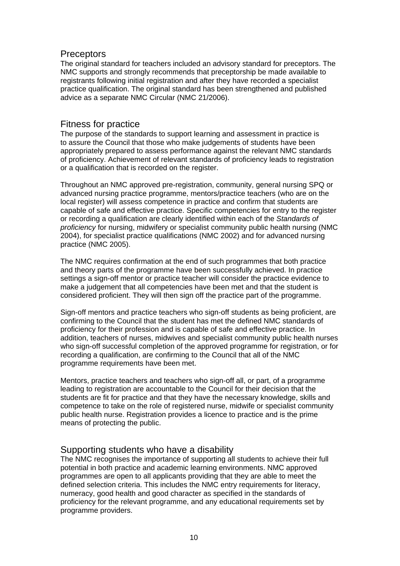#### **Preceptors**

The original standard for teachers included an advisory standard for preceptors. The NMC supports and strongly recommends that preceptorship be made available to registrants following initial registration and after they have recorded a specialist practice qualification. The original standard has been strengthened and published advice as a separate NMC Circular (NMC 21/2006).

### Fitness for practice

The purpose of the standards to support learning and assessment in practice is to assure the Council that those who make judgements of students have been appropriately prepared to assess performance against the relevant NMC standards of proficiency. Achievement of relevant standards of proficiency leads to registration or a qualification that is recorded on the register.

Throughout an NMC approved pre-registration, community, general nursing SPQ or advanced nursing practice programme, mentors/practice teachers (who are on the local register) will assess competence in practice and confirm that students are capable of safe and effective practice. Specific competencies for entry to the register or recording a qualification are clearly identified within each of the *Standards of proficiency* for nursing, midwifery or specialist community public health nursing (NMC 2004), for specialist practice qualifications (NMC 2002) and for advanced nursing practice (NMC 2005).

The NMC requires confirmation at the end of such programmes that both practice and theory parts of the programme have been successfully achieved. In practice settings a sign-off mentor or practice teacher will consider the practice evidence to make a judgement that all competencies have been met and that the student is considered proficient. They will then sign off the practice part of the programme.

Sign-off mentors and practice teachers who sign-off students as being proficient, are confirming to the Council that the student has met the defined NMC standards of proficiency for their profession and is capable of safe and effective practice. In addition, teachers of nurses, midwives and specialist community public health nurses who sign-off successful completion of the approved programme for registration, or for recording a qualification, are confirming to the Council that all of the NMC programme requirements have been met.

Mentors, practice teachers and teachers who sign-off all, or part, of a programme leading to registration are accountable to the Council for their decision that the students are fit for practice and that they have the necessary knowledge, skills and competence to take on the role of registered nurse, midwife or specialist community public health nurse. Registration provides a licence to practice and is the prime means of protecting the public.

# Supporting students who have a disability

The NMC recognises the importance of supporting all students to achieve their full potential in both practice and academic learning environments. NMC approved programmes are open to all applicants providing that they are able to meet the defined selection criteria. This includes the NMC entry requirements for literacy, numeracy, good health and good character as specified in the standards of proficiency for the relevant programme, and any educational requirements set by programme providers.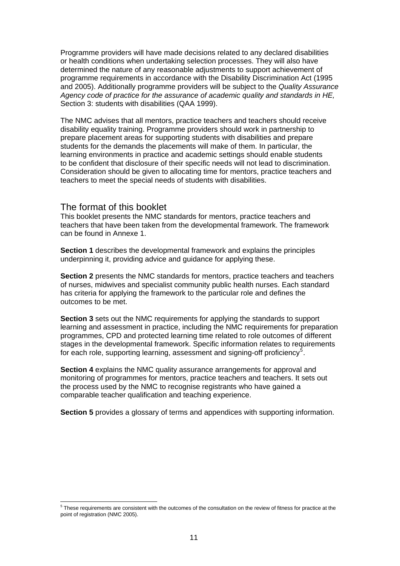<span id="page-10-0"></span>Programme providers will have made decisions related to any declared disabilities or health conditions when undertaking selection processes. They will also have determined the nature of any reasonable adjustments to support achievement of programme requirements in accordance with the Disability Discrimination Act (1995 and 2005). Additionally programme providers will be subject to the *Quality Assurance Agency code of practice for the assurance of academic quality and standards in HE,*  Section 3: students with disabilities (QAA 1999).

The NMC advises that all mentors, practice teachers and teachers should receive disability equality training. Programme providers should work in partnership to prepare placement areas for supporting students with disabilities and prepare students for the demands the placements will make of them. In particular, the learning environments in practice and academic settings should enable students to be confident that disclosure of their specific needs will not lead to discrimination. Consideration should be given to allocating time for mentors, practice teachers and teachers to meet the special needs of students with disabilities.

#### The format of this booklet

This booklet presents the NMC standards for mentors, practice teachers and teachers that have been taken from the developmental framework. The framework can be found in Annexe 1.

**Section 1** describes the developmental framework and explains the principles underpinning it, providing advice and guidance for applying these.

**Section 2** presents the NMC standards for mentors, practice teachers and teachers of nurses, midwives and specialist community public health nurses. Each standard has criteria for applying the framework to the particular role and defines the outcomes to be met.

**Section 3** sets out the NMC requirements for applying the standards to support learning and assessment in practice, including the NMC requirements for preparation programmes, CPD and protected learning time related to role outcomes of different stages in the developmental framework. Specific information relates to requirements for each role, supporting learning, assessment and signing-off proficiency<sup>[5](#page-10-0)</sup>.

**Section 4** explains the NMC quality assurance arrangements for approval and monitoring of programmes for mentors, practice teachers and teachers. It sets out the process used by the NMC to recognise registrants who have gained a comparable teacher qualification and teaching experience.

**Section 5** provides a glossary of terms and appendices with supporting information.

 5 These requirements are consistent with the outcomes of the consultation on the review of fitness for practice at the point of registration (NMC 2005).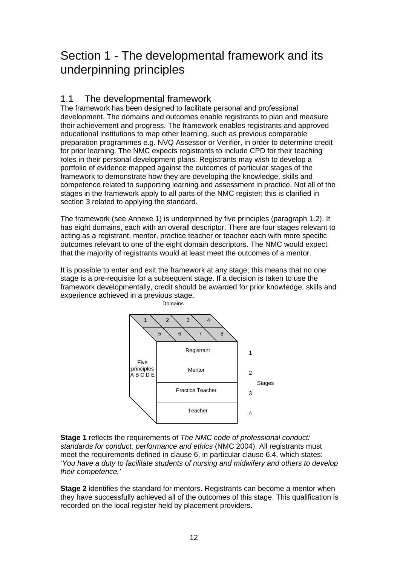# Section 1 - The developmental framework and its underpinning principles

# 1.1 The developmental framework

The framework has been designed to facilitate personal and professional development. The domains and outcomes enable registrants to plan and measure their achievement and progress. The framework enables registrants and approved educational institutions to map other learning, such as previous comparable preparation programmes e.g. NVQ Assessor or Verifier, in order to determine credit for prior learning. The NMC expects registrants to include CPD for their teaching roles in their personal development plans. Registrants may wish to develop a portfolio of evidence mapped against the outcomes of particular stages of the framework to demonstrate how they are developing the knowledge, skills and competence related to supporting learning and assessment in practice. Not all of the stages in the framework apply to all parts of the NMC register; this is clarified in section 3 related to applying the standard.

The framework (see Annexe 1) is underpinned by five principles (paragraph 1.2). It has eight domains, each with an overall descriptor. There are four stages relevant to acting as a registrant, mentor, practice teacher or teacher each with more specific outcomes relevant to one of the eight domain descriptors. The NMC would expect that the majority of registrants would at least meet the outcomes of a mentor.

It is possible to enter and exit the framework at any stage; this means that no one stage is a pre-requisite for a subsequent stage. If a decision is taken to use the framework developmentally, credit should be awarded for prior knowledge, skills and experience achieved in a previous stage.



**Stage 1** reflects the requirements of *The NMC code of professional conduct: standards for conduct, performance and ethics* (NMC 2004). All registrants must meet the requirements defined in clause 6, in particular clause 6.4, which states: '*You have a duty to facilitate students of nursing and midwifery and others to develop their competence.'* 

**Stage 2** identifies the standard for mentors. Registrants can become a mentor when they have successfully achieved all of the outcomes of this stage. This qualification is recorded on the local register held by placement providers.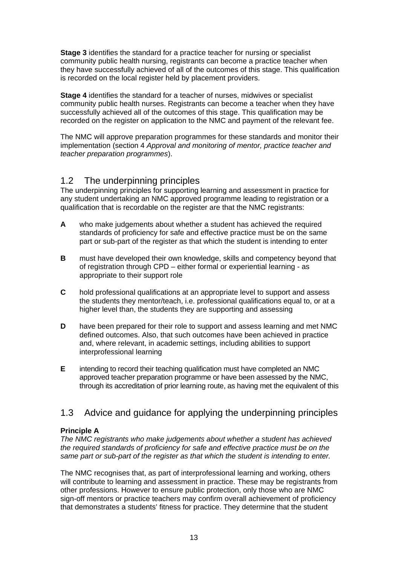**Stage 3** identifies the standard for a practice teacher for nursing or specialist community public health nursing, registrants can become a practice teacher when they have successfully achieved of all of the outcomes of this stage. This qualification is recorded on the local register held by placement providers.

**Stage 4** identifies the standard for a teacher of nurses, midwives or specialist community public health nurses. Registrants can become a teacher when they have successfully achieved all of the outcomes of this stage. This qualification may be recorded on the register on application to the NMC and payment of the relevant fee.

The NMC will approve preparation programmes for these standards and monitor their implementation (section 4 *Approval and monitoring of mentor, practice teacher and teacher preparation programmes*).

# 1.2 The underpinning principles

The underpinning principles for supporting learning and assessment in practice for any student undertaking an NMC approved programme leading to registration or a qualification that is recordable on the register are that the NMC registrants:

- **A** who make judgements about whether a student has achieved the required standards of proficiency for safe and effective practice must be on the same part or sub-part of the register as that which the student is intending to enter
- **B** must have developed their own knowledge, skills and competency beyond that of registration through CPD – either formal or experiential learning - as appropriate to their support role
- **C** hold professional qualifications at an appropriate level to support and assess the students they mentor/teach, i.e. professional qualifications equal to, or at a higher level than, the students they are supporting and assessing
- **D** have been prepared for their role to support and assess learning and met NMC defined outcomes. Also, that such outcomes have been achieved in practice and, where relevant, in academic settings, including abilities to support interprofessional learning
- **E** intending to record their teaching qualification must have completed an NMC approved teacher preparation programme or have been assessed by the NMC, through its accreditation of prior learning route, as having met the equivalent of this

# 1.3 Advice and guidance for applying the underpinning principles

#### **Principle A**

*The NMC registrants who make judgements about whether a student has achieved the required standards of proficiency for safe and effective practice must be on the same part or sub-part of the register as that which the student is intending to enter.* 

The NMC recognises that, as part of interprofessional learning and working, others will contribute to learning and assessment in practice. These may be registrants from other professions. However to ensure public protection, only those who are NMC sign-off mentors or practice teachers may confirm overall achievement of proficiency that demonstrates a students' fitness for practice. They determine that the student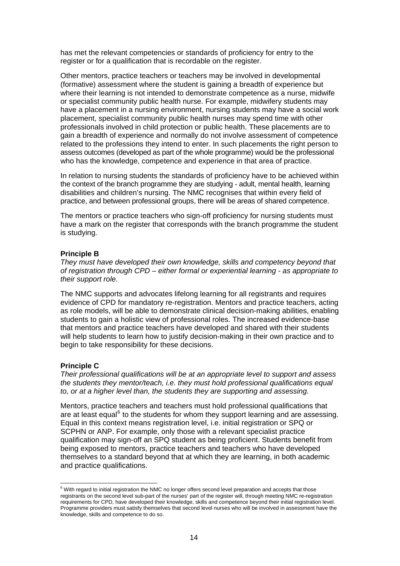<span id="page-13-0"></span>has met the relevant competencies or standards of proficiency for entry to the register or for a qualification that is recordable on the register.

Other mentors, practice teachers or teachers may be involved in developmental (formative) assessment where the student is gaining a breadth of experience but where their learning is not intended to demonstrate competence as a nurse, midwife or specialist community public health nurse. For example, midwifery students may have a placement in a nursing environment, nursing students may have a social work placement, specialist community public health nurses may spend time with other professionals involved in child protection or public health. These placements are to gain a breadth of experience and normally do not involve assessment of competence related to the professions they intend to enter. In such placements the right person to assess outcomes (developed as part of the whole programme) would be the professional who has the knowledge, competence and experience in that area of practice.

In relation to nursing students the standards of proficiency have to be achieved within the context of the branch programme they are studying - adult, mental health, learning disabilities and children's nursing. The NMC recognises that within every field of practice, and between professional groups, there will be areas of shared competence.

The mentors or practice teachers who sign-off proficiency for nursing students must have a mark on the register that corresponds with the branch programme the student is studying.

#### **Principle B**

*They must have developed their own knowledge, skills and competency beyond that of registration through CPD – either formal or experiential learning - as appropriate to their support role.* 

The NMC supports and advocates lifelong learning for all registrants and requires evidence of CPD for mandatory re-registration. Mentors and practice teachers, acting as role models, will be able to demonstrate clinical decision-making abilities, enabling students to gain a holistic view of professional roles. The increased evidence-base that mentors and practice teachers have developed and shared with their students will help students to learn how to justify decision-making in their own practice and to begin to take responsibility for these decisions.

#### **Principle C**

*Their professional qualifications will be at an appropriate level to support and assess the students they mentor/teach, i.e. they must hold professional qualifications equal to, or at a higher level than, the students they are supporting and assessing.* 

Mentors, practice teachers and teachers must hold professional qualifications that are at least equal<sup>[6](#page-13-0)</sup> to the students for whom they support learning and are assessing. Equal in this context means registration level, i.e. initial registration or SPQ or SCPHN or ANP. For example, only those with a relevant specialist practice qualification may sign-off an SPQ student as being proficient. Students benefit from being exposed to mentors, practice teachers and teachers who have developed themselves to a standard beyond that at which they are learning, in both academic and practice qualifications.

 6 With regard to initial registration the NMC no longer offers second level preparation and accepts that those registrants on the second level sub-part of the nurses' part of the register will, through meeting NMC re-registration requirements for CPD, have developed their knowledge, skills and competence beyond their initial registration level. Programme providers must satisfy themselves that second level nurses who will be involved in assessment have the knowledge, skills and competence to do so.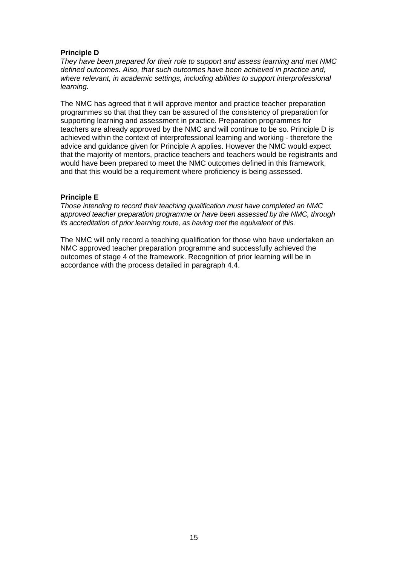#### **Principle D**

*They have been prepared for their role to support and assess learning and met NMC defined outcomes. Also, that such outcomes have been achieved in practice and, where relevant, in academic settings, including abilities to support interprofessional learning.* 

The NMC has agreed that it will approve mentor and practice teacher preparation programmes so that that they can be assured of the consistency of preparation for supporting learning and assessment in practice. Preparation programmes for teachers are already approved by the NMC and will continue to be so. Principle D is achieved within the context of interprofessional learning and working - therefore the advice and guidance given for Principle A applies. However the NMC would expect that the majority of mentors, practice teachers and teachers would be registrants and would have been prepared to meet the NMC outcomes defined in this framework, and that this would be a requirement where proficiency is being assessed.

#### **Principle E**

*Those intending to record their teaching qualification must have completed an NMC approved teacher preparation programme or have been assessed by the NMC, through its accreditation of prior learning route, as having met the equivalent of this.* 

The NMC will only record a teaching qualification for those who have undertaken an NMC approved teacher preparation programme and successfully achieved the outcomes of stage 4 of the framework. Recognition of prior learning will be in accordance with the process detailed in paragraph 4.4.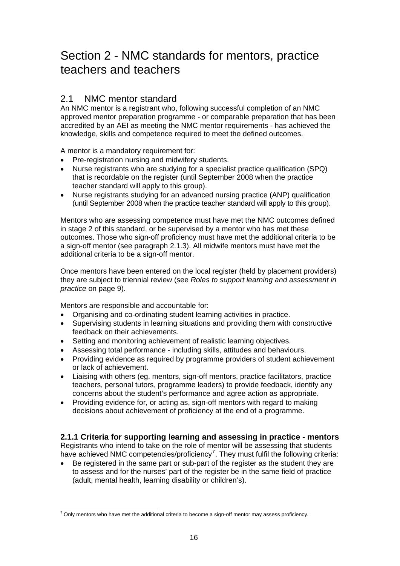# <span id="page-15-0"></span>Section 2 - NMC standards for mentors, practice teachers and teachers

# 2.1 NMC mentor standard

An NMC mentor is a registrant who, following successful completion of an NMC approved mentor preparation programme - or comparable preparation that has been accredited by an AEI as meeting the NMC mentor requirements - has achieved the knowledge, skills and competence required to meet the defined outcomes.

A mentor is a mandatory requirement for:

- Pre-registration nursing and midwifery students.
- Nurse registrants who are studying for a specialist practice qualification (SPQ) that is recordable on the register (until September 2008 when the practice teacher standard will apply to this group).
- Nurse registrants studying for an advanced nursing practice (ANP) qualification (until September 2008 when the practice teacher standard will apply to this group).

Mentors who are assessing competence must have met the NMC outcomes defined in stage 2 of this standard, or be supervised by a mentor who has met these outcomes. Those who sign-off proficiency must have met the additional criteria to be a sign-off mentor (see paragraph 2.1.3). All midwife mentors must have met the additional criteria to be a sign-off mentor.

Once mentors have been entered on the local register (held by placement providers) they are subject to triennial review (see *Roles to support learning and assessment in practice* on page 9).

Mentors are responsible and accountable for:

- Organising and co-ordinating student learning activities in practice.
- Supervising students in learning situations and providing them with constructive feedback on their achievements.
- Setting and monitoring achievement of realistic learning objectives.
- Assessing total performance including skills, attitudes and behaviours.
- Providing evidence as required by programme providers of student achievement or lack of achievement.
- Liaising with others (eg. mentors, sign-off mentors, practice facilitators, practice teachers, personal tutors, programme leaders) to provide feedback, identify any concerns about the student's performance and agree action as appropriate.
- Providing evidence for, or acting as, sign-off mentors with regard to making decisions about achievement of proficiency at the end of a programme.

#### **2.1.1 Criteria for supporting learning and assessing in practice - mentors**

Registrants who intend to take on the role of mentor will be assessing that students have achieved NMC competencies/proficiency<sup>[7](#page-15-0)</sup>. They must fulfil the following criteria:

• Be registered in the same part or sub-part of the register as the student they are to assess and for the nurses' part of the register be in the same field of practice (adult, mental health, learning disability or children's).

 7 Only mentors who have met the additional criteria to become a sign-off mentor may assess proficiency.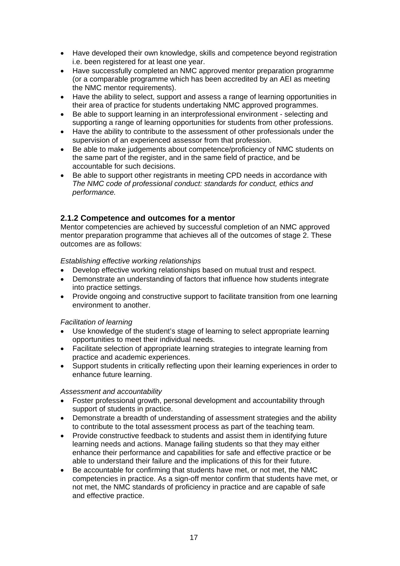- Have developed their own knowledge, skills and competence beyond registration i.e. been registered for at least one year.
- Have successfully completed an NMC approved mentor preparation programme (or a comparable programme which has been accredited by an AEI as meeting the NMC mentor requirements).
- Have the ability to select, support and assess a range of learning opportunities in their area of practice for students undertaking NMC approved programmes.
- Be able to support learning in an interprofessional environment selecting and supporting a range of learning opportunities for students from other professions.
- Have the ability to contribute to the assessment of other professionals under the supervision of an experienced assessor from that profession.
- Be able to make judgements about competence/proficiency of NMC students on the same part of the register, and in the same field of practice, and be accountable for such decisions.
- Be able to support other registrants in meeting CPD needs in accordance with *The NMC code of professional conduct: standards for conduct, ethics and performance.*

### **2.1.2 Competence and outcomes for a mentor**

Mentor competencies are achieved by successful completion of an NMC approved mentor preparation programme that achieves all of the outcomes of stage 2. These outcomes are as follows:

#### *Establishing effective working relationships*

- Develop effective working relationships based on mutual trust and respect.
- Demonstrate an understanding of factors that influence how students integrate into practice settings.
- Provide ongoing and constructive support to facilitate transition from one learning environment to another.

#### *Facilitation of learning*

- Use knowledge of the student's stage of learning to select appropriate learning opportunities to meet their individual needs.
- Facilitate selection of appropriate learning strategies to integrate learning from practice and academic experiences.
- Support students in critically reflecting upon their learning experiences in order to enhance future learning.

#### *Assessment and accountability*

- Foster professional growth, personal development and accountability through support of students in practice.
- Demonstrate a breadth of understanding of assessment strategies and the ability to contribute to the total assessment process as part of the teaching team.
- Provide constructive feedback to students and assist them in identifying future learning needs and actions. Manage failing students so that they may either enhance their performance and capabilities for safe and effective practice or be able to understand their failure and the implications of this for their future.
- Be accountable for confirming that students have met, or not met, the NMC competencies in practice. As a sign-off mentor confirm that students have met, or not met, the NMC standards of proficiency in practice and are capable of safe and effective practice.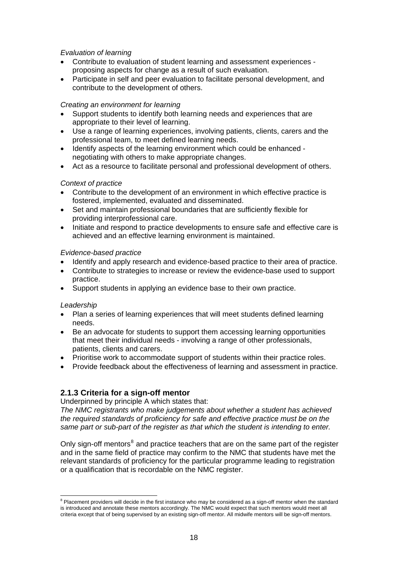#### <span id="page-17-0"></span>*Evaluation of learning*

- Contribute to evaluation of student learning and assessment experiences proposing aspects for change as a result of such evaluation.
- Participate in self and peer evaluation to facilitate personal development, and contribute to the development of others.

#### *Creating an environment for learning*

- Support students to identify both learning needs and experiences that are appropriate to their level of learning.
- Use a range of learning experiences, involving patients, clients, carers and the professional team, to meet defined learning needs.
- Identify aspects of the learning environment which could be enhanced negotiating with others to make appropriate changes.
- Act as a resource to facilitate personal and professional development of others.

#### *Context of practice*

- Contribute to the development of an environment in which effective practice is fostered, implemented, evaluated and disseminated.
- Set and maintain professional boundaries that are sufficiently flexible for providing interprofessional care.
- Initiate and respond to practice developments to ensure safe and effective care is achieved and an effective learning environment is maintained.

#### *Evidence-based practice*

- Identify and apply research and evidence-based practice to their area of practice.
- Contribute to strategies to increase or review the evidence-base used to support practice.
- Support students in applying an evidence base to their own practice.

#### *Leadership*

- Plan a series of learning experiences that will meet students defined learning needs.
- Be an advocate for students to support them accessing learning opportunities that meet their individual needs - involving a range of other professionals, patients, clients and carers.
- Prioritise work to accommodate support of students within their practice roles.
- Provide feedback about the effectiveness of learning and assessment in practice.

#### **2.1.3 Criteria for a sign-off mentor**

Underpinned by principle A which states that:

*The NMC registrants who make judgements about whether a student has achieved the required standards of proficiency for safe and effective practice must be on the same part or sub-part of the register as that which the student is intending to enter.* 

Only sign-off mentors<sup>[8](#page-17-0)</sup> and practice teachers that are on the same part of the register and in the same field of practice may confirm to the NMC that students have met the relevant standards of proficiency for the particular programme leading to registration or a qualification that is recordable on the NMC register.

 8 Placement providers will decide in the first instance who may be considered as a sign-off mentor when the standard is introduced and annotate these mentors accordingly. The NMC would expect that such mentors would meet all criteria except that of being supervised by an existing sign-off mentor. All midwife mentors will be sign-off mentors.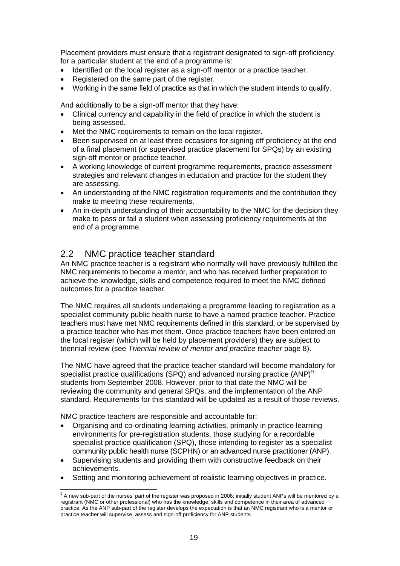<span id="page-18-0"></span>Placement providers must ensure that a registrant designated to sign-off proficiency for a particular student at the end of a programme is:

- Identified on the local register as a sign-off mentor or a practice teacher.
- Registered on the same part of the register.
- Working in the same field of practice as that in which the student intends to qualify.

And additionally to be a sign-off mentor that they have:

- Clinical currency and capability in the field of practice in which the student is being assessed.
- Met the NMC requirements to remain on the local register.
- Been supervised on at least three occasions for signing off proficiency at the end of a final placement (or supervised practice placement for SPQs) by an existing sign-off mentor or practice teacher.
- A working knowledge of current programme requirements, practice assessment strategies and relevant changes in education and practice for the student they are assessing.
- An understanding of the NMC registration requirements and the contribution they make to meeting these requirements.
- An in-depth understanding of their accountability to the NMC for the decision they make to pass or fail a student when assessing proficiency requirements at the end of a programme.

### 2.2 NMC practice teacher standard

An NMC practice teacher is a registrant who normally will have previously fulfilled the NMC requirements to become a mentor, and who has received further preparation to achieve the knowledge, skills and competence required to meet the NMC defined outcomes for a practice teacher.

The NMC requires all students undertaking a programme leading to registration as a specialist community public health nurse to have a named practice teacher. Practice teachers must have met NMC requirements defined in this standard, or be supervised by a practice teacher who has met them. Once practice teachers have been entered on the local register (which will be held by placement providers) they are subject to triennial review (see *Triennial review of mentor and practice teacher* page 8).

The NMC have agreed that the practice teacher standard will become mandatory for specialist practice qualifications (SPQ) and advanced nursing practice (ANP)<sup>[9](#page-18-0)</sup> students from September 2008. However, prior to that date the NMC will be reviewing the community and general SPQs, and the implementation of the ANP standard. Requirements for this standard will be updated as a result of those reviews.

NMC practice teachers are responsible and accountable for:

1

- Organising and co-ordinating learning activities, primarily in practice learning environments for pre-registration students, those studying for a recordable specialist practice qualification (SPQ), those intending to register as a specialist community public health nurse (SCPHN) or an advanced nurse practitioner (ANP).
- Supervising students and providing them with constructive feedback on their achievements.
- Setting and monitoring achievement of realistic learning objectives in practice.

<sup>&</sup>lt;sup>9</sup> A new sub-part of the nurses' part of the register was proposed in 2006; initially student ANPs will be mentored by a registrant (NMC or other professional) who has the knowledge, skills and competence in their area of advanced practice. As the ANP sub-part of the register develops the expectation is that an NMC registrant who is a mentor or practice teacher will supervise, assess and sign-off proficiency for ANP students.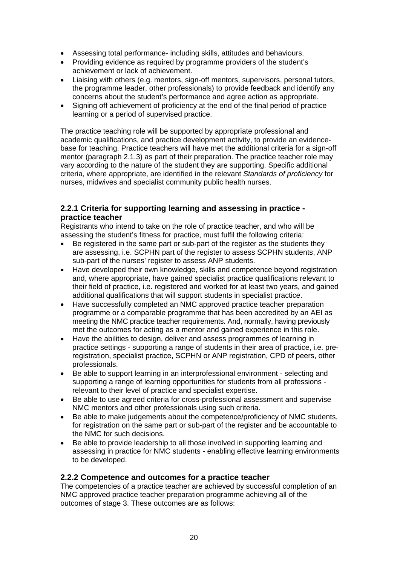- Assessing total performance- including skills, attitudes and behaviours.
- Providing evidence as required by programme providers of the student's achievement or lack of achievement.
- Liaising with others (e.g. mentors, sign-off mentors, supervisors, personal tutors, the programme leader, other professionals) to provide feedback and identify any concerns about the student's performance and agree action as appropriate.
- Signing off achievement of proficiency at the end of the final period of practice learning or a period of supervised practice.

The practice teaching role will be supported by appropriate professional and academic qualifications, and practice development activity, to provide an evidencebase for teaching. Practice teachers will have met the additional criteria for a sign-off mentor (paragraph 2.1.3) as part of their preparation. The practice teacher role may vary according to the nature of the student they are supporting. Specific additional criteria, where appropriate, are identified in the relevant *Standards of proficiency* for nurses, midwives and specialist community public health nurses.

#### **2.2.1 Criteria for supporting learning and assessing in practice practice teacher**

Registrants who intend to take on the role of practice teacher, and who will be assessing the student's fitness for practice, must fulfil the following criteria:

- Be registered in the same part or sub-part of the register as the students they are assessing, i.e. SCPHN part of the register to assess SCPHN students, ANP sub-part of the nurses' register to assess ANP students.
- Have developed their own knowledge, skills and competence beyond registration and, where appropriate, have gained specialist practice qualifications relevant to their field of practice, i.e. registered and worked for at least two years, and gained additional qualifications that will support students in specialist practice.
- Have successfully completed an NMC approved practice teacher preparation programme or a comparable programme that has been accredited by an AEI as meeting the NMC practice teacher requirements. And, normally, having previously met the outcomes for acting as a mentor and gained experience in this role.
- Have the abilities to design, deliver and assess programmes of learning in practice settings - supporting a range of students in their area of practice, i.e. preregistration, specialist practice, SCPHN or ANP registration, CPD of peers, other professionals.
- Be able to support learning in an interprofessional environment selecting and supporting a range of learning opportunities for students from all professions relevant to their level of practice and specialist expertise.
- Be able to use agreed criteria for cross-professional assessment and supervise NMC mentors and other professionals using such criteria.
- Be able to make judgements about the competence/proficiency of NMC students, for registration on the same part or sub-part of the register and be accountable to the NMC for such decisions.
- Be able to provide leadership to all those involved in supporting learning and assessing in practice for NMC students - enabling effective learning environments to be developed.

#### **2.2.2 Competence and outcomes for a practice teacher**

The competencies of a practice teacher are achieved by successful completion of an NMC approved practice teacher preparation programme achieving all of the outcomes of stage 3. These outcomes are as follows: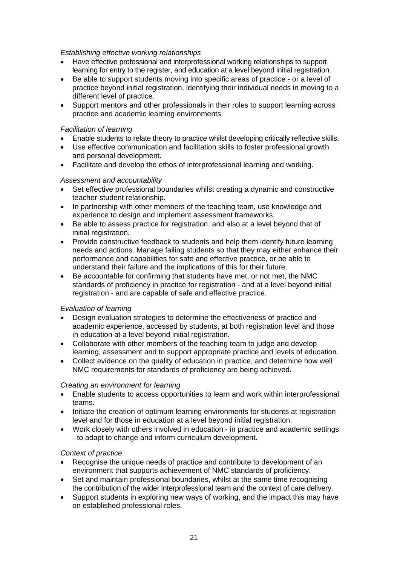#### *Establishing effective working relationships*

- Have effective professional and interprofessional working relationships to support learning for entry to the register, and education at a level beyond initial registration.
- Be able to support students moving into specific areas of practice or a level of practice beyond initial registration, identifying their individual needs in moving to a different level of practice.
- Support mentors and other professionals in their roles to support learning across practice and academic learning environments.

#### *Facilitation of learning*

- Enable students to relate theory to practice whilst developing critically reflective skills.
- Use effective communication and facilitation skills to foster professional growth and personal development.
- Facilitate and develop the ethos of interprofessional learning and working.

#### *Assessment and accountability*

- Set effective professional boundaries whilst creating a dynamic and constructive teacher-student relationship.
- In partnership with other members of the teaching team, use knowledge and experience to design and implement assessment frameworks.
- Be able to assess practice for registration, and also at a level beyond that of initial registration.
- Provide constructive feedback to students and help them identify future learning needs and actions. Manage failing students so that they may either enhance their performance and capabilities for safe and effective practice, or be able to understand their failure and the implications of this for their future.
- Be accountable for confirming that students have met, or not met, the NMC standards of proficiency in practice for registration - and at a level beyond initial registration - and are capable of safe and effective practice.

#### *Evaluation of learning*

- Design evaluation strategies to determine the effectiveness of practice and academic experience, accessed by students, at both registration level and those in education at a level beyond initial registration.
- Collaborate with other members of the teaching team to judge and develop learning, assessment and to support appropriate practice and levels of education.
- Collect evidence on the quality of education in practice, and determine how well NMC requirements for standards of proficiency are being achieved.

#### *Creating an environment for learning*

- Enable students to access opportunities to learn and work within interprofessional teams.
- Initiate the creation of optimum learning environments for students at registration level and for those in education at a level beyond initial registration.
- Work closely with others involved in education in practice and academic settings - to adapt to change and inform curriculum development.

#### *Context of practice*

- Recognise the unique needs of practice and contribute to development of an environment that supports achievement of NMC standards of proficiency.
- Set and maintain professional boundaries, whilst at the same time recognising the contribution of the wider interprofessional team and the context of care delivery.
- Support students in exploring new ways of working, and the impact this may have on established professional roles.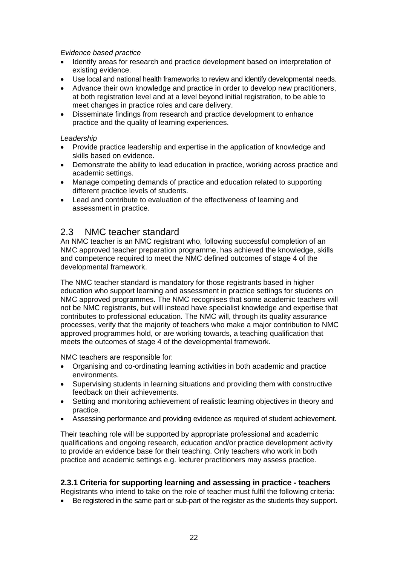#### *Evidence based practice*

- Identify areas for research and practice development based on interpretation of existing evidence.
- Use local and national health frameworks to review and identify developmental needs.
- Advance their own knowledge and practice in order to develop new practitioners, at both registration level and at a level beyond initial registration, to be able to meet changes in practice roles and care delivery.
- Disseminate findings from research and practice development to enhance practice and the quality of learning experiences.

#### *Leadership*

- Provide practice leadership and expertise in the application of knowledge and skills based on evidence.
- Demonstrate the ability to lead education in practice, working across practice and academic settings.
- Manage competing demands of practice and education related to supporting different practice levels of students.
- Lead and contribute to evaluation of the effectiveness of learning and assessment in practice.

# 2.3 NMC teacher standard

An NMC teacher is an NMC registrant who, following successful completion of an NMC approved teacher preparation programme, has achieved the knowledge, skills and competence required to meet the NMC defined outcomes of stage 4 of the developmental framework.

The NMC teacher standard is mandatory for those registrants based in higher education who support learning and assessment in practice settings for students on NMC approved programmes. The NMC recognises that some academic teachers will not be NMC registrants, but will instead have specialist knowledge and expertise that contributes to professional education. The NMC will, through its quality assurance processes, verify that the majority of teachers who make a major contribution to NMC approved programmes hold, or are working towards, a teaching qualification that meets the outcomes of stage 4 of the developmental framework.

NMC teachers are responsible for:

- Organising and co-ordinating learning activities in both academic and practice environments.
- Supervising students in learning situations and providing them with constructive feedback on their achievements.
- Setting and monitoring achievement of realistic learning objectives in theory and practice.
- Assessing performance and providing evidence as required of student achievement.

Their teaching role will be supported by appropriate professional and academic qualifications and ongoing research, education and/or practice development activity to provide an evidence base for their teaching. Only teachers who work in both practice and academic settings e.g. lecturer practitioners may assess practice.

#### **2.3.1 Criteria for supporting learning and assessing in practice - teachers**

Registrants who intend to take on the role of teacher must fulfil the following criteria:

• Be registered in the same part or sub-part of the register as the students they support.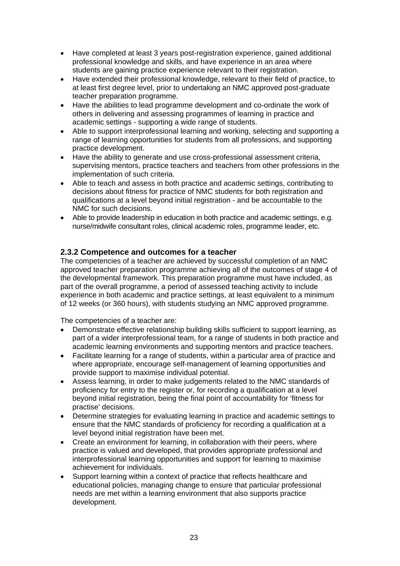- Have completed at least 3 years post-registration experience, gained additional professional knowledge and skills, and have experience in an area where students are gaining practice experience relevant to their registration.
- Have extended their professional knowledge, relevant to their field of practice, to at least first degree level, prior to undertaking an NMC approved post-graduate teacher preparation programme.
- Have the abilities to lead programme development and co-ordinate the work of others in delivering and assessing programmes of learning in practice and academic settings - supporting a wide range of students.
- Able to support interprofessional learning and working, selecting and supporting a range of learning opportunities for students from all professions, and supporting practice development.
- Have the ability to generate and use cross-professional assessment criteria, supervising mentors, practice teachers and teachers from other professions in the implementation of such criteria.
- Able to teach and assess in both practice and academic settings, contributing to decisions about fitness for practice of NMC students for both registration and qualifications at a level beyond initial registration - and be accountable to the NMC for such decisions.
- Able to provide leadership in education in both practice and academic settings, e.g. nurse/midwife consultant roles, clinical academic roles, programme leader, etc.

#### **2.3.2 Competence and outcomes for a teacher**

The competencies of a teacher are achieved by successful completion of an NMC approved teacher preparation programme achieving all of the outcomes of stage 4 of the developmental framework. This preparation programme must have included, as part of the overall programme, a period of assessed teaching activity to include experience in both academic and practice settings, at least equivalent to a minimum of 12 weeks (or 360 hours), with students studying an NMC approved programme.

The competencies of a teacher are:

- Demonstrate effective relationship building skills sufficient to support learning, as part of a wider interprofessional team, for a range of students in both practice and academic learning environments and supporting mentors and practice teachers.
- Facilitate learning for a range of students, within a particular area of practice and where appropriate, encourage self-management of learning opportunities and provide support to maximise individual potential.
- Assess learning, in order to make judgements related to the NMC standards of proficiency for entry to the register or, for recording a qualification at a level beyond initial registration, being the final point of accountability for 'fitness for practise' decisions.
- Determine strategies for evaluating learning in practice and academic settings to ensure that the NMC standards of proficiency for recording a qualification at a level beyond initial registration have been met.
- Create an environment for learning, in collaboration with their peers, where practice is valued and developed, that provides appropriate professional and interprofessional learning opportunities and support for learning to maximise achievement for individuals.
- Support learning within a context of practice that reflects healthcare and educational policies, managing change to ensure that particular professional needs are met within a learning environment that also supports practice development.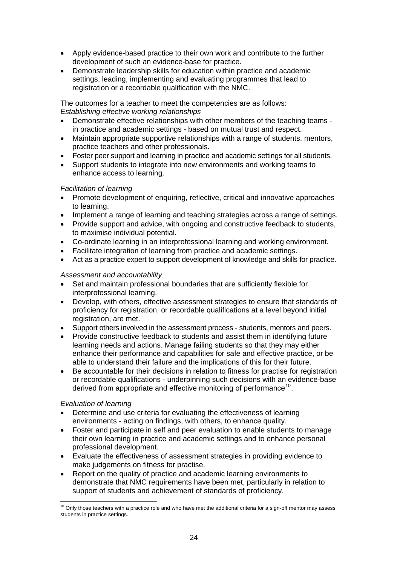- <span id="page-23-0"></span>• Apply evidence-based practice to their own work and contribute to the further development of such an evidence-base for practice.
- Demonstrate leadership skills for education within practice and academic settings, leading, implementing and evaluating programmes that lead to registration or a recordable qualification with the NMC.

The outcomes for a teacher to meet the competencies are as follows: *Establishing effective working relationships* 

- Demonstrate effective relationships with other members of the teaching teams in practice and academic settings - based on mutual trust and respect.
- Maintain appropriate supportive relationships with a range of students, mentors, practice teachers and other professionals.
- Foster peer support and learning in practice and academic settings for all students.
- Support students to integrate into new environments and working teams to enhance access to learning.

#### *Facilitation of learning*

- Promote development of enquiring, reflective, critical and innovative approaches to learning.
- Implement a range of learning and teaching strategies across a range of settings.
- Provide support and advice, with ongoing and constructive feedback to students, to maximise individual potential.
- Co-ordinate learning in an interprofessional learning and working environment.
- Facilitate integration of learning from practice and academic settings.
- Act as a practice expert to support development of knowledge and skills for practice.

#### *Assessment and accountability*

- Set and maintain professional boundaries that are sufficiently flexible for interprofessional learning.
- Develop, with others, effective assessment strategies to ensure that standards of proficiency for registration, or recordable qualifications at a level beyond initial registration, are met.
- Support others involved in the assessment process students, mentors and peers.
- Provide constructive feedback to students and assist them in identifying future learning needs and actions. Manage failing students so that they may either enhance their performance and capabilities for safe and effective practice, or be able to understand their failure and the implications of this for their future.
- Be accountable for their decisions in relation to fitness for practise for registration or recordable qualifications - underpinning such decisions with an evidence-base derived from appropriate and effective monitoring of performance<sup>[10](#page-23-0)</sup>.

#### *Evaluation of learning*

1

- Determine and use criteria for evaluating the effectiveness of learning environments - acting on findings, with others, to enhance quality.
- Foster and participate in self and peer evaluation to enable students to manage their own learning in practice and academic settings and to enhance personal professional development.
- Evaluate the effectiveness of assessment strategies in providing evidence to make judgements on fitness for practise.
- Report on the quality of practice and academic learning environments to demonstrate that NMC requirements have been met, particularly in relation to support of students and achievement of standards of proficiency.

 $10$  Only those teachers with a practice role and who have met the additional criteria for a sign-off mentor may assess students in practice settings.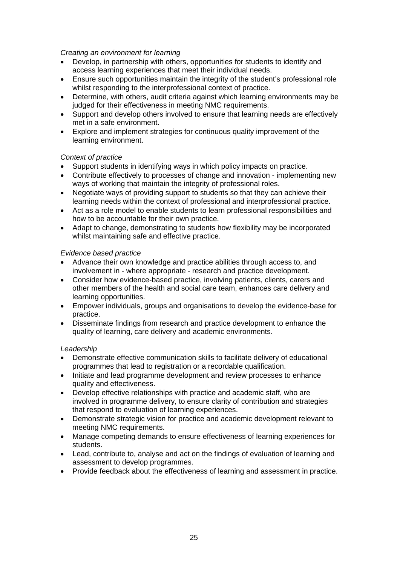#### *Creating an environment for learning*

- Develop, in partnership with others, opportunities for students to identify and access learning experiences that meet their individual needs.
- Ensure such opportunities maintain the integrity of the student's professional role whilst responding to the interprofessional context of practice.
- Determine, with others, audit criteria against which learning environments may be judged for their effectiveness in meeting NMC requirements.
- Support and develop others involved to ensure that learning needs are effectively met in a safe environment.
- Explore and implement strategies for continuous quality improvement of the learning environment.

#### *Context of practice*

- Support students in identifying ways in which policy impacts on practice.
- Contribute effectively to processes of change and innovation implementing new ways of working that maintain the integrity of professional roles.
- Negotiate ways of providing support to students so that they can achieve their learning needs within the context of professional and interprofessional practice.
- Act as a role model to enable students to learn professional responsibilities and how to be accountable for their own practice.
- Adapt to change, demonstrating to students how flexibility may be incorporated whilst maintaining safe and effective practice.

#### *Evidence based practice*

- Advance their own knowledge and practice abilities through access to, and involvement in - where appropriate - research and practice development.
- Consider how evidence-based practice, involving patients, clients, carers and other members of the health and social care team, enhances care delivery and learning opportunities.
- Empower individuals, groups and organisations to develop the evidence-base for practice.
- Disseminate findings from research and practice development to enhance the quality of learning, care delivery and academic environments.

#### *Leadership*

- Demonstrate effective communication skills to facilitate delivery of educational programmes that lead to registration or a recordable qualification.
- Initiate and lead programme development and review processes to enhance quality and effectiveness.
- Develop effective relationships with practice and academic staff, who are involved in programme delivery, to ensure clarity of contribution and strategies that respond to evaluation of learning experiences.
- Demonstrate strategic vision for practice and academic development relevant to meeting NMC requirements.
- Manage competing demands to ensure effectiveness of learning experiences for students.
- Lead, contribute to, analyse and act on the findings of evaluation of learning and assessment to develop programmes.
- Provide feedback about the effectiveness of learning and assessment in practice.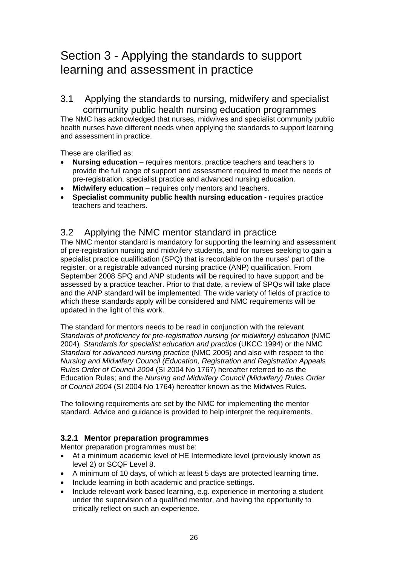# Section 3 - Applying the standards to support learning and assessment in practice

3.1 Applying the standards to nursing, midwifery and specialist community public health nursing education programmes

The NMC has acknowledged that nurses, midwives and specialist community public health nurses have different needs when applying the standards to support learning and assessment in practice.

These are clarified as:

- **Nursing education** requires mentors, practice teachers and teachers to provide the full range of support and assessment required to meet the needs of pre-registration, specialist practice and advanced nursing education.
- **Midwifery education** requires only mentors and teachers.
- **Specialist community public health nursing education** requires practice teachers and teachers.

# 3.2 Applying the NMC mentor standard in practice

The NMC mentor standard is mandatory for supporting the learning and assessment of pre-registration nursing and midwifery students, and for nurses seeking to gain a specialist practice qualification (SPQ) that is recordable on the nurses' part of the register, or a registrable advanced nursing practice (ANP) qualification. From September 2008 SPQ and ANP students will be required to have support and be assessed by a practice teacher. Prior to that date, a review of SPQs will take place and the ANP standard will be implemented. The wide variety of fields of practice to which these standards apply will be considered and NMC requirements will be updated in the light of this work.

The standard for mentors needs to be read in conjunction with the relevant *Standards of proficiency for pre-registration nursing (or midwifery) education* (NMC 2004)*, Standards for specialist education and practice* (UKCC 1994) or the NMC *Standard for advanced nursing practice* (NMC 2005) and also with respect to the *Nursing and Midwifery Council (Education, Registration and Registration Appeals Rules Order of Council 2004* (SI 2004 No 1767) hereafter referred to as the Education Rules; and the *Nursing and Midwifery Council (Midwifery) Rules Order of Council 2004* (SI 2004 No 1764) hereafter known as the Midwives Rules.

The following requirements are set by the NMC for implementing the mentor standard. Advice and guidance is provided to help interpret the requirements.

#### **3.2.1 Mentor preparation programmes**

Mentor preparation programmes must be:

- At a minimum academic level of HE Intermediate level (previously known as level 2) or SCQF Level 8.
- A minimum of 10 days, of which at least 5 days are protected learning time.
- Include learning in both academic and practice settings.
- Include relevant work-based learning, e.g. experience in mentoring a student under the supervision of a qualified mentor, and having the opportunity to critically reflect on such an experience.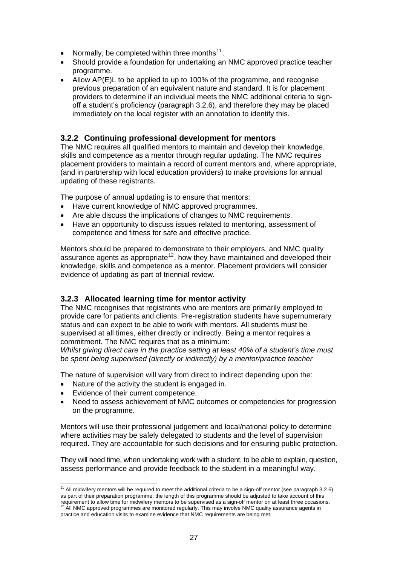- <span id="page-26-0"></span>• Normally, be completed within three months<sup>[11](#page-26-0)</sup>.
- Should provide a foundation for undertaking an NMC approved practice teacher programme.
- Allow AP(E)L to be applied to up to 100% of the programme, and recognise previous preparation of an equivalent nature and standard. It is for placement providers to determine if an individual meets the NMC additional criteria to signoff a student's proficiency (paragraph 3.2.6), and therefore they may be placed immediately on the local register with an annotation to identify this.

#### **3.2.2 Continuing professional development for mentors**

The NMC requires all qualified mentors to maintain and develop their knowledge, skills and competence as a mentor through regular updating. The NMC requires placement providers to maintain a record of current mentors and, where appropriate, (and in partnership with local education providers) to make provisions for annual updating of these registrants.

The purpose of annual updating is to ensure that mentors:

- Have current knowledge of NMC approved programmes.
- Are able discuss the implications of changes to NMC requirements.
- Have an opportunity to discuss issues related to mentoring, assessment of competence and fitness for safe and effective practice.

Mentors should be prepared to demonstrate to their employers, and NMC quality assurance agents as appropriate<sup>[12](#page-26-0)</sup>, how they have maintained and developed their knowledge, skills and competence as a mentor. Placement providers will consider evidence of updating as part of triennial review.

#### **3.2.3 Allocated learning time for mentor activity**

The NMC recognises that registrants who are mentors are primarily employed to provide care for patients and clients. Pre-registration students have supernumerary status and can expect to be able to work with mentors. All students must be supervised at all times, either directly or indirectly. Being a mentor requires a commitment. The NMC requires that as a minimum:

*Whilst giving direct care in the practice setting at least 40% of a student's time must be spent being supervised (directly or indirectly) by a mentor/practice teacher* 

The nature of supervision will vary from direct to indirect depending upon the:

- Nature of the activity the student is engaged in.
- Evidence of their current competence.

 $\overline{a}$ 

• Need to assess achievement of NMC outcomes or competencies for progression on the programme.

Mentors will use their professional judgement and local/national policy to determine where activities may be safely delegated to students and the level of supervision required. They are accountable for such decisions and for ensuring public protection.

They will need time, when undertaking work with a student, to be able to explain, question, assess performance and provide feedback to the student in a meaningful way.

 $11$  All midwifery mentors will be required to meet the additional criteria to be a sign-off mentor (see paragraph 3.2.6) as part of their preparation programme; the length of this programme should be adjusted to take account of this requirement to allow time for midwifery mentors to be supervised as a sign-off mentor on at least three occasions.<br><sup>12</sup> All NMC approved programmes are monitored regularly. This may involve NMC quality assurance agents in practice and education visits to examine evidence that NMC requirements are being met.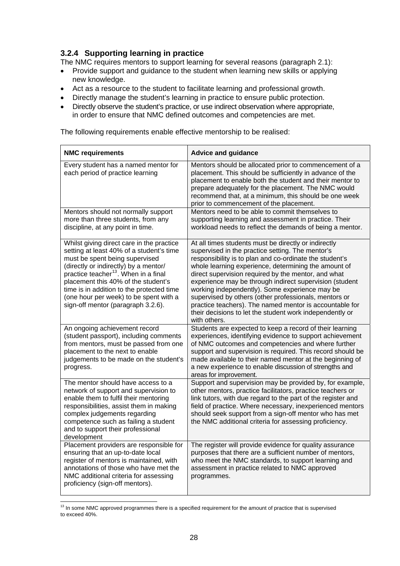# <span id="page-27-0"></span>**3.2.4 Supporting learning in practice**

The NMC requires mentors to support learning for several reasons (paragraph 2.1):

- Provide support and guidance to the student when learning new skills or applying new knowledge.
- Act as a resource to the student to facilitate learning and professional growth.
- Directly manage the student's learning in practice to ensure public protection.
- Directly observe the student's practice, or use indirect observation where appropriate, in order to ensure that NMC defined outcomes and competencies are met.

The following requirements enable effective mentorship to be realised:

| <b>NMC requirements</b>                                                                                                                                                                                                                                                                                                                                                                  | <b>Advice and guidance</b>                                                                                                                                                                                                                                                                                                                                                                                                                                                                                                                                                                      |
|------------------------------------------------------------------------------------------------------------------------------------------------------------------------------------------------------------------------------------------------------------------------------------------------------------------------------------------------------------------------------------------|-------------------------------------------------------------------------------------------------------------------------------------------------------------------------------------------------------------------------------------------------------------------------------------------------------------------------------------------------------------------------------------------------------------------------------------------------------------------------------------------------------------------------------------------------------------------------------------------------|
| Every student has a named mentor for<br>each period of practice learning                                                                                                                                                                                                                                                                                                                 | Mentors should be allocated prior to commencement of a<br>placement. This should be sufficiently in advance of the<br>placement to enable both the student and their mentor to<br>prepare adequately for the placement. The NMC would<br>recommend that, at a minimum, this should be one week<br>prior to commencement of the placement.                                                                                                                                                                                                                                                       |
| Mentors should not normally support<br>more than three students, from any<br>discipline, at any point in time.                                                                                                                                                                                                                                                                           | Mentors need to be able to commit themselves to<br>supporting learning and assessment in practice. Their<br>workload needs to reflect the demands of being a mentor.                                                                                                                                                                                                                                                                                                                                                                                                                            |
| Whilst giving direct care in the practice<br>setting at least 40% of a student's time<br>must be spent being supervised<br>(directly or indirectly) by a mentor/<br>practice teacher <sup>13</sup> . When in a final<br>placement this 40% of the student's<br>time is in addition to the protected time<br>(one hour per week) to be spent with a<br>sign-off mentor (paragraph 3.2.6). | At all times students must be directly or indirectly<br>supervised in the practice setting. The mentor's<br>responsibility is to plan and co-ordinate the student's<br>whole learning experience, determining the amount of<br>direct supervision required by the mentor, and what<br>experience may be through indirect supervision (student<br>working independently). Some experience may be<br>supervised by others (other professionals, mentors or<br>practice teachers). The named mentor is accountable for<br>their decisions to let the student work independently or<br>with others. |
| An ongoing achievement record<br>(student passport), including comments<br>from mentors, must be passed from one<br>placement to the next to enable<br>judgements to be made on the student's<br>progress.                                                                                                                                                                               | Students are expected to keep a record of their learning<br>experiences, identifying evidence to support achievement<br>of NMC outcomes and competencies and where further<br>support and supervision is required. This record should be<br>made available to their named mentor at the beginning of<br>a new experience to enable discussion of strengths and<br>areas for improvement.                                                                                                                                                                                                        |
| The mentor should have access to a<br>network of support and supervision to<br>enable them to fulfil their mentoring<br>responsibilities, assist them in making<br>complex judgements regarding<br>competence such as failing a student<br>and to support their professional<br>development                                                                                              | Support and supervision may be provided by, for example,<br>other mentors, practice facilitators, practice teachers or<br>link tutors, with due regard to the part of the register and<br>field of practice. Where necessary, inexperienced mentors<br>should seek support from a sign-off mentor who has met<br>the NMC additional criteria for assessing proficiency.                                                                                                                                                                                                                         |
| Placement providers are responsible for<br>ensuring that an up-to-date local<br>register of mentors is maintained, with<br>annotations of those who have met the<br>NMC additional criteria for assessing<br>proficiency (sign-off mentors).                                                                                                                                             | The register will provide evidence for quality assurance<br>purposes that there are a sufficient number of mentors,<br>who meet the NMC standards, to support learning and<br>assessment in practice related to NMC approved<br>programmes.                                                                                                                                                                                                                                                                                                                                                     |

 $13$  In some NMC approved programmes there is a specified requirement for the amount of practice that is supervised to exceed 40%.

1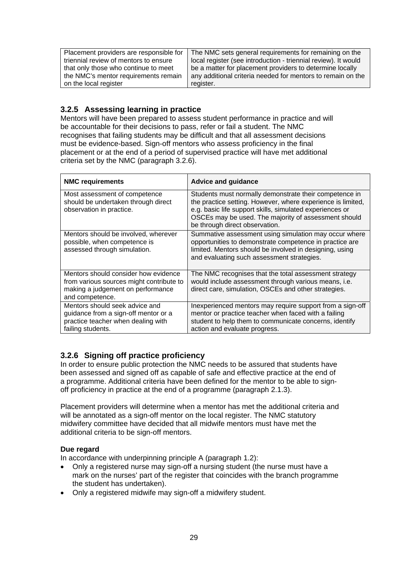| Placement providers are responsible for | The NMC sets general requirements for remaining on the         |
|-----------------------------------------|----------------------------------------------------------------|
|                                         |                                                                |
| triennial review of mentors to ensure   | local register (see introduction - triennial review). It would |
|                                         |                                                                |
| that only those who continue to meet    | be a matter for placement providers to determine locally       |
|                                         |                                                                |
| the NMC's mentor requirements remain    | any additional criteria needed for mentors to remain on the    |
|                                         |                                                                |
| on the local register                   | register.                                                      |
|                                         |                                                                |

# **3.2.5 Assessing learning in practice**

Mentors will have been prepared to assess student performance in practice and will be accountable for their decisions to pass, refer or fail a student. The NMC recognises that failing students may be difficult and that all assessment decisions must be evidence-based. Sign-off mentors who assess proficiency in the final placement or at the end of a period of supervised practice will have met additional criteria set by the NMC (paragraph 3.2.6).

| <b>NMC requirements</b>                                                                                                                  | <b>Advice and guidance</b>                                                                                                                                                                                                                                                  |
|------------------------------------------------------------------------------------------------------------------------------------------|-----------------------------------------------------------------------------------------------------------------------------------------------------------------------------------------------------------------------------------------------------------------------------|
| Most assessment of competence<br>should be undertaken through direct<br>observation in practice.                                         | Students must normally demonstrate their competence in<br>the practice setting. However, where experience is limited,<br>e.g. basic life support skills, simulated experiences or<br>OSCEs may be used. The majority of assessment should<br>be through direct observation. |
| Mentors should be involved, wherever<br>possible, when competence is<br>assessed through simulation.                                     | Summative assessment using simulation may occur where<br>opportunities to demonstrate competence in practice are<br>limited. Mentors should be involved in designing, using<br>and evaluating such assessment strategies.                                                   |
| Mentors should consider how evidence<br>from various sources might contribute to<br>making a judgement on performance<br>and competence. | The NMC recognises that the total assessment strategy<br>would include assessment through various means, i.e.<br>direct care, simulation, OSCEs and other strategies.                                                                                                       |
| Mentors should seek advice and<br>guidance from a sign-off mentor or a<br>practice teacher when dealing with<br>failing students.        | Inexperienced mentors may require support from a sign-off<br>mentor or practice teacher when faced with a failing<br>student to help them to communicate concerns, identify<br>action and evaluate progress.                                                                |

# **3.2.6 Signing off practice proficiency**

In order to ensure public protection the NMC needs to be assured that students have been assessed and signed off as capable of safe and effective practice at the end of a programme. Additional criteria have been defined for the mentor to be able to signoff proficiency in practice at the end of a programme (paragraph 2.1.3).

Placement providers will determine when a mentor has met the additional criteria and will be annotated as a sign-off mentor on the local register. The NMC statutory midwifery committee have decided that all midwife mentors must have met the additional criteria to be sign-off mentors.

#### **Due regard**

In accordance with underpinning principle A (paragraph 1.2):

- Only a registered nurse may sign-off a nursing student (the nurse must have a mark on the nurses' part of the register that coincides with the branch programme the student has undertaken).
- Only a registered midwife may sign-off a midwifery student.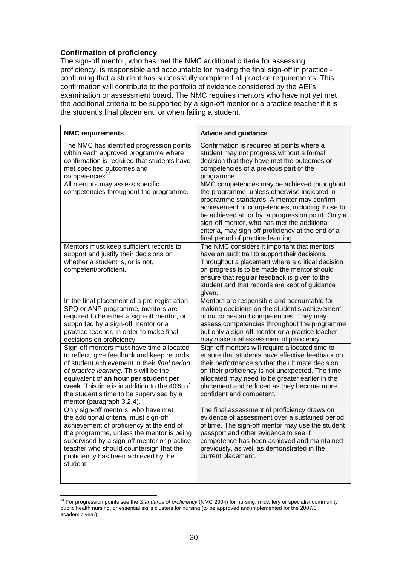#### <span id="page-29-0"></span>**Confirmation of proficiency**

The sign-off mentor, who has met the NMC additional criteria for assessing proficiency, is responsible and accountable for making the final sign-off in practice confirming that a student has successfully completed all practice requirements. This confirmation will contribute to the portfolio of evidence considered by the AEI's examination or assessment board. The NMC requires mentors who have not yet met the additional criteria to be supported by a sign-off mentor or a practice teacher if it is the student's final placement, or when failing a student.

| <b>NMC requirements</b>                                                                                                                                                                                                                                                                                                                             | <b>Advice and guidance</b>                                                                                                                                                                                                                                                                                                                                                                   |
|-----------------------------------------------------------------------------------------------------------------------------------------------------------------------------------------------------------------------------------------------------------------------------------------------------------------------------------------------------|----------------------------------------------------------------------------------------------------------------------------------------------------------------------------------------------------------------------------------------------------------------------------------------------------------------------------------------------------------------------------------------------|
| The NMC has identified progression points<br>within each approved programme where<br>confirmation is required that students have<br>met specified outcomes and<br>competencies <sup>14</sup> .                                                                                                                                                      | Confirmation is required at points where a<br>student may not progress without a formal<br>decision that they have met the outcomes or<br>competencies of a previous part of the<br>programme.                                                                                                                                                                                               |
| All mentors may assess specific<br>competencies throughout the programme.                                                                                                                                                                                                                                                                           | NMC competencies may be achieved throughout<br>the programme, unless otherwise indicated in<br>programme standards. A mentor may confirm<br>achievement of competencies, including those to<br>be achieved at, or by, a progression point. Only a<br>sign-off mentor, who has met the additional<br>criteria, may sign-off proficiency at the end of a<br>final period of practice learning. |
| Mentors must keep sufficient records to<br>support and justify their decisions on<br>whether a student is, or is not,<br>competent/proficient.                                                                                                                                                                                                      | The NMC considers it important that mentors<br>have an audit trail to support their decisions.<br>Throughout a placement where a critical decision<br>on progress is to be made the mentor should<br>ensure that regular feedback is given to the<br>student and that records are kept of guidance<br>given.                                                                                 |
| In the final placement of a pre-registration,<br>SPQ or ANP programme, mentors are<br>required to be either a sign-off mentor, or<br>supported by a sign-off mentor or a<br>practice teacher, in order to make final<br>decisions on proficiency.                                                                                                   | Mentors are responsible and accountable for<br>making decisions on the student's achievement<br>of outcomes and competencies. They may<br>assess competencies throughout the programme<br>but only a sign-off mentor or a practice teacher<br>may make final assessment of proficiency.                                                                                                      |
| Sign-off mentors must have time allocated<br>to reflect, give feedback and keep records<br>of student achievement in their final period<br>of practice learning. This will be the<br>equivalent of an hour per student per<br>week. This time is in addition to the 40% of<br>the student's time to be supervised by a<br>mentor (paragraph 3.2.4). | Sign-off mentors will require allocated time to<br>ensure that students have effective feedback on<br>their performance so that the ultimate decision<br>on their proficiency is not unexpected. The time<br>allocated may need to be greater earlier in the<br>placement and reduced as they become more<br>confident and competent.                                                        |
| Only sign-off mentors, who have met<br>the additional criteria, must sign-off<br>achievement of proficiency at the end of<br>the programme, unless the mentor is being<br>supervised by a sign-off mentor or practice<br>teacher who should countersign that the<br>proficiency has been achieved by the<br>student.                                | The final assessment of proficiency draws on<br>evidence of assessment over a sustained period<br>of time. The sign-off mentor may use the student<br>passport and other evidence to see if<br>competence has been achieved and maintained<br>previously, as well as demonstrated in the<br>current placement.                                                                               |

<sup>-</sup>14 For progression points see the *Standards of proficiency* (NMC 2004) for nursing, midwifery or specialist community public health nursing, or essential skills clusters for nursing (to be approved and implemented for the 2007/8 academic year).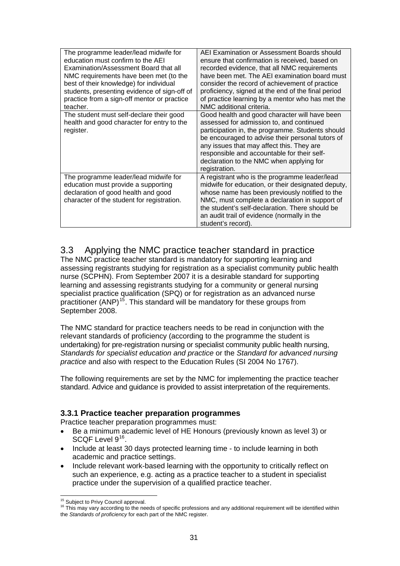<span id="page-30-0"></span>

| The programme leader/lead midwife for<br>education must confirm to the AEI<br>Examination/Assessment Board that all<br>NMC requirements have been met (to the<br>best of their knowledge) for individual<br>students, presenting evidence of sign-off of<br>practice from a sign-off mentor or practice<br>teacher. | AEI Examination or Assessment Boards should<br>ensure that confirmation is received, based on<br>recorded evidence, that all NMC requirements<br>have been met. The AEI examination board must<br>consider the record of achievement of practice<br>proficiency, signed at the end of the final period<br>of practice learning by a mentor who has met the<br>NMC additional criteria. |
|---------------------------------------------------------------------------------------------------------------------------------------------------------------------------------------------------------------------------------------------------------------------------------------------------------------------|----------------------------------------------------------------------------------------------------------------------------------------------------------------------------------------------------------------------------------------------------------------------------------------------------------------------------------------------------------------------------------------|
| The student must self-declare their good<br>health and good character for entry to the<br>register.                                                                                                                                                                                                                 | Good health and good character will have been<br>assessed for admission to, and continued<br>participation in, the programme. Students should<br>be encouraged to advise their personal tutors of<br>any issues that may affect this. They are<br>responsible and accountable for their self-<br>declaration to the NMC when applying for<br>registration.                             |
| The programme leader/lead midwife for<br>education must provide a supporting<br>declaration of good health and good<br>character of the student for registration.                                                                                                                                                   | A registrant who is the programme leader/lead<br>midwife for education, or their designated deputy,<br>whose name has been previously notified to the<br>NMC, must complete a declaration in support of<br>the student's self-declaration. There should be<br>an audit trail of evidence (normally in the<br>student's record).                                                        |

# 3.3 Applying the NMC practice teacher standard in practice

The NMC practice teacher standard is mandatory for supporting learning and assessing registrants studying for registration as a specialist community public health nurse (SCPHN). From September 2007 it is a desirable standard for supporting learning and assessing registrants studying for a community or general nursing specialist practice qualification (SPQ) or for registration as an advanced nurse practitioner (ANP)<sup>[15](#page-30-0)</sup>. This standard will be mandatory for these groups from September 2008.

The NMC standard for practice teachers needs to be read in conjunction with the relevant standards of proficiency (according to the programme the student is undertaking) for pre-registration nursing or specialist community public health nursing, *Standards for specialist education and practice* or the *Standard for advanced nursing practice* and also with respect to the Education Rules (SI 2004 No 1767).

The following requirements are set by the NMC for implementing the practice teacher standard. Advice and guidance is provided to assist interpretation of the requirements.

#### **3.3.1 Practice teacher preparation programmes**

Practice teacher preparation programmes must:

- Be a minimum academic level of HE Honours (previously known as level 3) or SCQF Level 9<sup>[16](#page-30-0)</sup>.
- Include at least 30 days protected learning time to include learning in both academic and practice settings.
- Include relevant work-based learning with the opportunity to critically reflect on such an experience, e.g. acting as a practice teacher to a student in specialist practice under the supervision of a qualified practice teacher.

<sup>&</sup>lt;sup>15</sup> Subiect to Privy Council approval.

<sup>&</sup>lt;sup>16</sup> This may vary according to the needs of specific professions and any additional requirement will be identified within the *Standards of proficiency* for each part of the NMC register.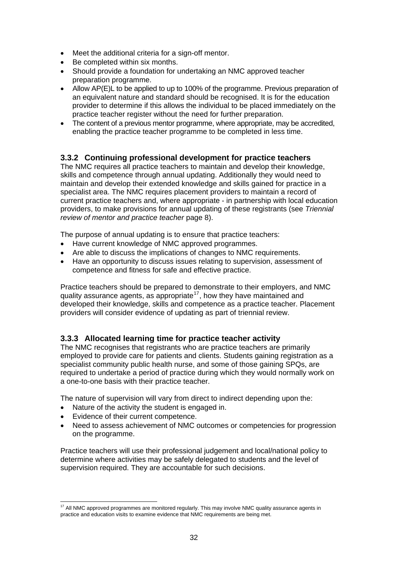- <span id="page-31-0"></span>• Meet the additional criteria for a sign-off mentor.
- Be completed within six months.
- Should provide a foundation for undertaking an NMC approved teacher preparation programme.
- Allow AP(E)L to be applied to up to 100% of the programme. Previous preparation of an equivalent nature and standard should be recognised. It is for the education provider to determine if this allows the individual to be placed immediately on the practice teacher register without the need for further preparation.
- The content of a previous mentor programme, where appropriate, may be accredited, enabling the practice teacher programme to be completed in less time.

### **3.3.2 Continuing professional development for practice teachers**

The NMC requires all practice teachers to maintain and develop their knowledge, skills and competence through annual updating. Additionally they would need to maintain and develop their extended knowledge and skills gained for practice in a specialist area. The NMC requires placement providers to maintain a record of current practice teachers and, where appropriate - in partnership with local education providers, to make provisions for annual updating of these registrants (see *Triennial review of mentor and practice teacher* page 8).

The purpose of annual updating is to ensure that practice teachers:

- Have current knowledge of NMC approved programmes.
- Are able to discuss the implications of changes to NMC requirements.
- Have an opportunity to discuss issues relating to supervision, assessment of competence and fitness for safe and effective practice.

Practice teachers should be prepared to demonstrate to their employers, and NMC quality assurance agents, as appropriate<sup>[17](#page-31-0)</sup>, how they have maintained and developed their knowledge, skills and competence as a practice teacher. Placement providers will consider evidence of updating as part of triennial review.

#### **3.3.3 Allocated learning time for practice teacher activity**

The NMC recognises that registrants who are practice teachers are primarily employed to provide care for patients and clients. Students gaining registration as a specialist community public health nurse, and some of those gaining SPQs, are required to undertake a period of practice during which they would normally work on a one-to-one basis with their practice teacher.

The nature of supervision will vary from direct to indirect depending upon the:

- Nature of the activity the student is engaged in.
- Evidence of their current competence.
- Need to assess achievement of NMC outcomes or competencies for progression on the programme.

Practice teachers will use their professional judgement and local/national policy to determine where activities may be safely delegated to students and the level of supervision required. They are accountable for such decisions.

<sup>1</sup>  $17$  All NMC approved programmes are monitored regularly. This may involve NMC quality assurance agents in practice and education visits to examine evidence that NMC requirements are being met.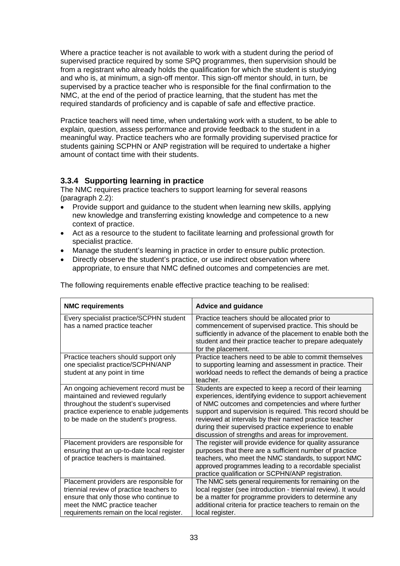Where a practice teacher is not available to work with a student during the period of supervised practice required by some SPQ programmes, then supervision should be from a registrant who already holds the qualification for which the student is studying and who is, at minimum, a sign-off mentor. This sign-off mentor should, in turn, be supervised by a practice teacher who is responsible for the final confirmation to the NMC, at the end of the period of practice learning, that the student has met the required standards of proficiency and is capable of safe and effective practice.

Practice teachers will need time, when undertaking work with a student, to be able to explain, question, assess performance and provide feedback to the student in a meaningful way. Practice teachers who are formally providing supervised practice for students gaining SCPHN or ANP registration will be required to undertake a higher amount of contact time with their students.

### **3.3.4 Supporting learning in practice**

The NMC requires practice teachers to support learning for several reasons (paragraph 2.2):

- Provide support and guidance to the student when learning new skills, applying new knowledge and transferring existing knowledge and competence to a new context of practice.
- Act as a resource to the student to facilitate learning and professional growth for specialist practice.
- Manage the student's learning in practice in order to ensure public protection.
- Directly observe the student's practice, or use indirect observation where appropriate, to ensure that NMC defined outcomes and competencies are met.

| <b>NMC requirements</b>                                                                                                                                                                                      | <b>Advice and guidance</b>                                                                                                                                                                                                                                                                                                                                                                                       |
|--------------------------------------------------------------------------------------------------------------------------------------------------------------------------------------------------------------|------------------------------------------------------------------------------------------------------------------------------------------------------------------------------------------------------------------------------------------------------------------------------------------------------------------------------------------------------------------------------------------------------------------|
| Every specialist practice/SCPHN student<br>has a named practice teacher                                                                                                                                      | Practice teachers should be allocated prior to<br>commencement of supervised practice. This should be<br>sufficiently in advance of the placement to enable both the<br>student and their practice teacher to prepare adequately<br>for the placement.                                                                                                                                                           |
| Practice teachers should support only<br>one specialist practice/SCPHN/ANP<br>student at any point in time                                                                                                   | Practice teachers need to be able to commit themselves<br>to supporting learning and assessment in practice. Their<br>workload needs to reflect the demands of being a practice<br>teacher.                                                                                                                                                                                                                      |
| An ongoing achievement record must be<br>maintained and reviewed regularly<br>throughout the student's supervised<br>practice experience to enable judgements<br>to be made on the student's progress.       | Students are expected to keep a record of their learning<br>experiences, identifying evidence to support achievement<br>of NMC outcomes and competencies and where further<br>support and supervision is required. This record should be<br>reviewed at intervals by their named practice teacher<br>during their supervised practice experience to enable<br>discussion of strengths and areas for improvement. |
| Placement providers are responsible for<br>ensuring that an up-to-date local register<br>of practice teachers is maintained.                                                                                 | The register will provide evidence for quality assurance<br>purposes that there are a sufficient number of practice<br>teachers, who meet the NMC standards, to support NMC<br>approved programmes leading to a recordable specialist<br>practice qualification or SCPHN/ANP registration.                                                                                                                       |
| Placement providers are responsible for<br>triennial review of practice teachers to<br>ensure that only those who continue to<br>meet the NMC practice teacher<br>requirements remain on the local register. | The NMC sets general requirements for remaining on the<br>local register (see introduction - triennial review). It would<br>be a matter for programme providers to determine any<br>additional criteria for practice teachers to remain on the<br>local register.                                                                                                                                                |

The following requirements enable effective practice teaching to be realised: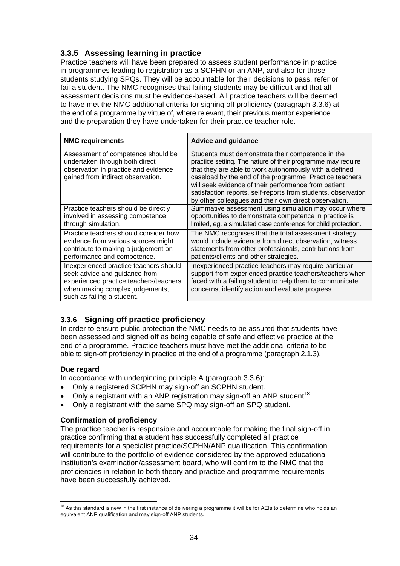# <span id="page-33-0"></span>**3.3.5 Assessing learning in practice**

Practice teachers will have been prepared to assess student performance in practice in programmes leading to registration as a SCPHN or an ANP, and also for those students studying SPQs. They will be accountable for their decisions to pass, refer or fail a student. The NMC recognises that failing students may be difficult and that all assessment decisions must be evidence-based. All practice teachers will be deemed to have met the NMC additional criteria for signing off proficiency (paragraph 3.3.6) at the end of a programme by virtue of, where relevant, their previous mentor experience and the preparation they have undertaken for their practice teacher role.

| <b>NMC requirements</b>                                                                                                                                                            | <b>Advice and guidance</b>                                                                                                                                                                                                                                                                                                                                                                                              |
|------------------------------------------------------------------------------------------------------------------------------------------------------------------------------------|-------------------------------------------------------------------------------------------------------------------------------------------------------------------------------------------------------------------------------------------------------------------------------------------------------------------------------------------------------------------------------------------------------------------------|
| Assessment of competence should be<br>undertaken through both direct<br>observation in practice and evidence<br>gained from indirect observation.                                  | Students must demonstrate their competence in the<br>practice setting. The nature of their programme may require<br>that they are able to work autonomously with a defined<br>caseload by the end of the programme. Practice teachers<br>will seek evidence of their performance from patient<br>satisfaction reports, self-reports from students, observation<br>by other colleagues and their own direct observation. |
| Practice teachers should be directly<br>involved in assessing competence<br>through simulation.                                                                                    | Summative assessment using simulation may occur where<br>opportunities to demonstrate competence in practice is<br>limited, eg. a simulated case conference for child protection.                                                                                                                                                                                                                                       |
| Practice teachers should consider how<br>evidence from various sources might<br>contribute to making a judgement on<br>performance and competence.                                 | The NMC recognises that the total assessment strategy<br>would include evidence from direct observation, witness<br>statements from other professionals, contributions from<br>patients/clients and other strategies.                                                                                                                                                                                                   |
| Inexperienced practice teachers should<br>seek advice and guidance from<br>experienced practice teachers/teachers<br>when making complex judgements,<br>such as failing a student. | Inexperienced practice teachers may require particular<br>support from experienced practice teachers/teachers when<br>faced with a failing student to help them to communicate<br>concerns, identify action and evaluate progress.                                                                                                                                                                                      |

# **3.3.6 Signing off practice proficiency**

In order to ensure public protection the NMC needs to be assured that students have been assessed and signed off as being capable of safe and effective practice at the end of a programme. Practice teachers must have met the additional criteria to be able to sign-off proficiency in practice at the end of a programme (paragraph 2.1.3).

#### **Due regard**

1

In accordance with underpinning principle A (paragraph 3.3.6):

- Only a registered SCPHN may sign-off an SCPHN student.
- Only a registrant with an ANP registration may sign-off an ANP student<sup>[18](#page-33-0)</sup>.
- Only a registrant with the same SPQ may sign-off an SPQ student.

#### **Confirmation of proficiency**

The practice teacher is responsible and accountable for making the final sign-off in practice confirming that a student has successfully completed all practice requirements for a specialist practice/SCPHN/ANP qualification. This confirmation will contribute to the portfolio of evidence considered by the approved educational institution's examination/assessment board, who will confirm to the NMC that the proficiencies in relation to both theory and practice and programme requirements have been successfully achieved.

<sup>&</sup>lt;sup>18</sup> As this standard is new in the first instance of delivering a programme it will be for AEIs to determine who holds an equivalent ANP qualification and may sign-off ANP students.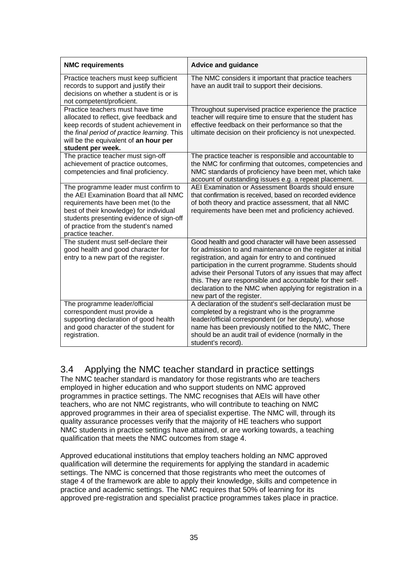| <b>NMC requirements</b>                                                                                                                                                                                                                                                  | <b>Advice and guidance</b>                                                                                                                                                                                                                                                                                                                                                                                                                                    |
|--------------------------------------------------------------------------------------------------------------------------------------------------------------------------------------------------------------------------------------------------------------------------|---------------------------------------------------------------------------------------------------------------------------------------------------------------------------------------------------------------------------------------------------------------------------------------------------------------------------------------------------------------------------------------------------------------------------------------------------------------|
| Practice teachers must keep sufficient<br>records to support and justify their<br>decisions on whether a student is or is<br>not competent/proficient.                                                                                                                   | The NMC considers it important that practice teachers<br>have an audit trail to support their decisions.                                                                                                                                                                                                                                                                                                                                                      |
| Practice teachers must have time<br>allocated to reflect, give feedback and<br>keep records of student achievement in<br>the final period of practice learning. This<br>will be the equivalent of an hour per<br>student per week.                                       | Throughout supervised practice experience the practice<br>teacher will require time to ensure that the student has<br>effective feedback on their performance so that the<br>ultimate decision on their proficiency is not unexpected.                                                                                                                                                                                                                        |
| The practice teacher must sign-off<br>achievement of practice outcomes,<br>competencies and final proficiency.                                                                                                                                                           | The practice teacher is responsible and accountable to<br>the NMC for confirming that outcomes, competencies and<br>NMC standards of proficiency have been met, which take<br>account of outstanding issues e.g. a repeat placement.                                                                                                                                                                                                                          |
| The programme leader must confirm to<br>the AEI Examination Board that all NMC<br>requirements have been met (to the<br>best of their knowledge) for individual<br>students presenting evidence of sign-off<br>of practice from the student's named<br>practice teacher. | AEI Examination or Assessment Boards should ensure<br>that confirmation is received, based on recorded evidence<br>of both theory and practice assessment, that all NMC<br>requirements have been met and proficiency achieved.                                                                                                                                                                                                                               |
| The student must self-declare their<br>good health and good character for<br>entry to a new part of the register.                                                                                                                                                        | Good health and good character will have been assessed<br>for admission to and maintenance on the register at initial<br>registration, and again for entry to and continued<br>participation in the current programme. Students should<br>advise their Personal Tutors of any issues that may affect<br>this. They are responsible and accountable for their self-<br>declaration to the NMC when applying for registration in a<br>new part of the register. |
| The programme leader/official<br>correspondent must provide a<br>supporting declaration of good health<br>and good character of the student for<br>registration.                                                                                                         | A declaration of the student's self-declaration must be<br>completed by a registrant who is the programme<br>leader/official correspondent (or her deputy), whose<br>name has been previously notified to the NMC, There<br>should be an audit trail of evidence (normally in the<br>student's record).                                                                                                                                                       |

# 3.4 Applying the NMC teacher standard in practice settings

The NMC teacher standard is mandatory for those registrants who are teachers employed in higher education and who support students on NMC approved programmes in practice settings. The NMC recognises that AEIs will have other teachers, who are not NMC registrants, who will contribute to teaching on NMC approved programmes in their area of specialist expertise. The NMC will, through its quality assurance processes verify that the majority of HE teachers who support NMC students in practice settings have attained, or are working towards, a teaching qualification that meets the NMC outcomes from stage 4.

Approved educational institutions that employ teachers holding an NMC approved qualification will determine the requirements for applying the standard in academic settings. The NMC is concerned that those registrants who meet the outcomes of stage 4 of the framework are able to apply their knowledge, skills and competence in practice and academic settings. The NMC requires that 50% of learning for its approved pre-registration and specialist practice programmes takes place in practice.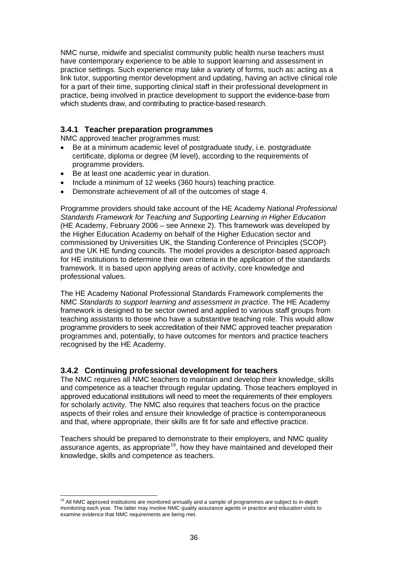<span id="page-35-0"></span>NMC nurse, midwife and specialist community public health nurse teachers must have contemporary experience to be able to support learning and assessment in practice settings. Such experience may take a variety of forms, such as: acting as a link tutor, supporting mentor development and updating, having an active clinical role for a part of their time, supporting clinical staff in their professional development in practice, being involved in practice development to support the evidence-base from which students draw, and contributing to practice-based research.

#### **3.4.1 Teacher preparation programmes**

NMC approved teacher programmes must:

- Be at a minimum academic level of postgraduate study, i.e. postgraduate certificate, diploma or degree (M level), according to the requirements of programme providers.
- Be at least one academic year in duration.
- Include a minimum of 12 weeks (360 hours) teaching practice.
- Demonstrate achievement of all of the outcomes of stage 4.

Programme providers should take account of the HE Academy *National Professional Standards Framework for Teaching and Supporting Learning in Higher Education*  (HE Academy, February 2006 – see Annexe 2). This framework was developed by the Higher Education Academy on behalf of the Higher Education sector and commissioned by Universities UK, the Standing Conference of Principles (SCOP) and the UK HE funding councils. The model provides a descriptor-based approach for HE institutions to determine their own criteria in the application of the standards framework. It is based upon applying areas of activity, core knowledge and professional values.

The HE Academy National Professional Standards Framework complements the NMC *Standards to support learning and assessment in practice*. The HE Academy framework is designed to be sector owned and applied to various staff groups from teaching assistants to those who have a substantive teaching role. This would allow programme providers to seek accreditation of their NMC approved teacher preparation programmes and, potentially, to have outcomes for mentors and practice teachers recognised by the HE Academy.

#### **3.4.2 Continuing professional development for teachers**

The NMC requires all NMC teachers to maintain and develop their knowledge, skills and competence as a teacher through regular updating. Those teachers employed in approved educational institutions will need to meet the requirements of their employers for scholarly activity. The NMC also requires that teachers focus on the practice aspects of their roles and ensure their knowledge of practice is contemporaneous and that, where appropriate, their skills are fit for safe and effective practice.

Teachers should be prepared to demonstrate to their employers, and NMC quality assurance agents, as appropriate<sup>[19](#page-35-0)</sup>, how they have maintained and developed their knowledge, skills and competence as teachers.

<sup>-</sup> $19$  All NMC approved institutions are monitored annually and a sample of programmes are subject to in-depth monitoring each year. The latter may involve NMC quality assurance agents in practice and education visits to examine evidence that NMC requirements are being met.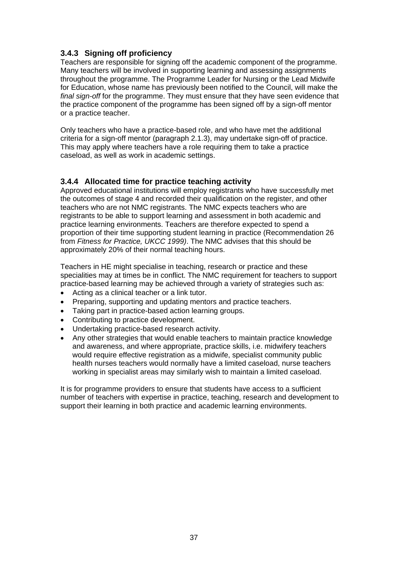# **3.4.3 Signing off proficiency**

Teachers are responsible for signing off the academic component of the programme. Many teachers will be involved in supporting learning and assessing assignments throughout the programme. The Programme Leader for Nursing or the Lead Midwife for Education, whose name has previously been notified to the Council, will make the *final sign-off* for the programme. They must ensure that they have seen evidence that the practice component of the programme has been signed off by a sign-off mentor or a practice teacher.

Only teachers who have a practice-based role, and who have met the additional criteria for a sign-off mentor (paragraph 2.1.3), may undertake sign-off of practice. This may apply where teachers have a role requiring them to take a practice caseload, as well as work in academic settings.

# **3.4.4 Allocated time for practice teaching activity**

Approved educational institutions will employ registrants who have successfully met the outcomes of stage 4 and recorded their qualification on the register, and other teachers who are not NMC registrants. The NMC expects teachers who are registrants to be able to support learning and assessment in both academic and practice learning environments. Teachers are therefore expected to spend a proportion of their time supporting student learning in practice (Recommendation 26 from *Fitness for Practice, UKCC 1999)*. The NMC advises that this should be approximately 20% of their normal teaching hours.

Teachers in HE might specialise in teaching, research or practice and these specialities may at times be in conflict. The NMC requirement for teachers to support practice-based learning may be achieved through a variety of strategies such as:

- Acting as a clinical teacher or a link tutor.
- Preparing, supporting and updating mentors and practice teachers.
- Taking part in practice-based action learning groups.
- Contributing to practice development.
- Undertaking practice-based research activity.
- Any other strategies that would enable teachers to maintain practice knowledge and awareness, and where appropriate, practice skills, i.e. midwifery teachers would require effective registration as a midwife, specialist community public health nurses teachers would normally have a limited caseload, nurse teachers working in specialist areas may similarly wish to maintain a limited caseload.

It is for programme providers to ensure that students have access to a sufficient number of teachers with expertise in practice, teaching, research and development to support their learning in both practice and academic learning environments.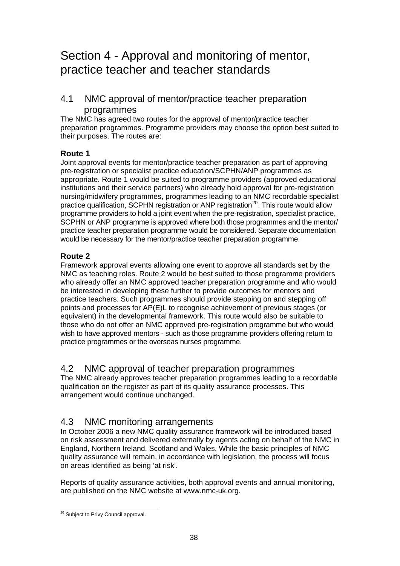# <span id="page-37-0"></span>Section 4 - Approval and monitoring of mentor, practice teacher and teacher standards

# 4.1 NMC approval of mentor/practice teacher preparation programmes

The NMC has agreed two routes for the approval of mentor/practice teacher preparation programmes. Programme providers may choose the option best suited to their purposes. The routes are:

# **Route 1**

Joint approval events for mentor/practice teacher preparation as part of approving pre-registration or specialist practice education/SCPHN/ANP programmes as appropriate. Route 1 would be suited to programme providers (approved educational institutions and their service partners) who already hold approval for pre-registration nursing/midwifery programmes, programmes leading to an NMC recordable specialist practice qualification, SCPHN registration or ANP registration<sup>[20](#page-37-0)</sup>. This route would allow programme providers to hold a joint event when the pre-registration, specialist practice, SCPHN or ANP programme is approved where both those programmes and the mentor/ practice teacher preparation programme would be considered. Separate documentation would be necessary for the mentor/practice teacher preparation programme.

#### **Route 2**

Framework approval events allowing one event to approve all standards set by the NMC as teaching roles. Route 2 would be best suited to those programme providers who already offer an NMC approved teacher preparation programme and who would be interested in developing these further to provide outcomes for mentors and practice teachers. Such programmes should provide stepping on and stepping off points and processes for AP(E)L to recognise achievement of previous stages (or equivalent) in the developmental framework. This route would also be suitable to those who do not offer an NMC approved pre-registration programme but who would wish to have approved mentors - such as those programme providers offering return to practice programmes or the overseas nurses programme.

# 4.2 NMC approval of teacher preparation programmes

The NMC already approves teacher preparation programmes leading to a recordable qualification on the register as part of its quality assurance processes. This arrangement would continue unchanged.

# 4.3 NMC monitoring arrangements

In October 2006 a new NMC quality assurance framework will be introduced based on risk assessment and delivered externally by agents acting on behalf of the NMC in England, Northern Ireland, Scotland and Wales. While the basic principles of NMC quality assurance will remain, in accordance with legislation, the process will focus on areas identified as being 'at risk'.

Reports of quality assurance activities, both approval events and annual monitoring, are published on the NMC website at www.nmc-uk.org.

<sup>-</sup><sup>20</sup> Subject to Privy Council approval.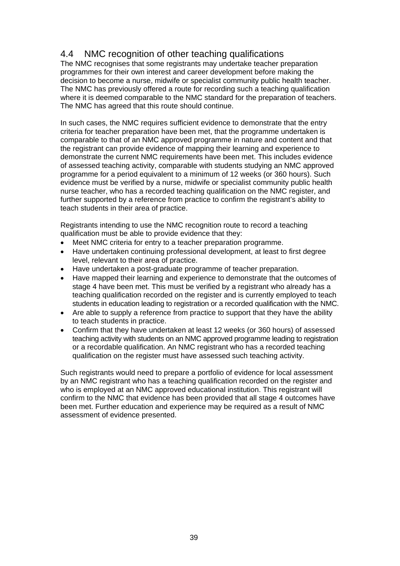# 4.4 NMC recognition of other teaching qualifications

The NMC recognises that some registrants may undertake teacher preparation programmes for their own interest and career development before making the decision to become a nurse, midwife or specialist community public health teacher. The NMC has previously offered a route for recording such a teaching qualification where it is deemed comparable to the NMC standard for the preparation of teachers. The NMC has agreed that this route should continue.

In such cases, the NMC requires sufficient evidence to demonstrate that the entry criteria for teacher preparation have been met, that the programme undertaken is comparable to that of an NMC approved programme in nature and content and that the registrant can provide evidence of mapping their learning and experience to demonstrate the current NMC requirements have been met. This includes evidence of assessed teaching activity, comparable with students studying an NMC approved programme for a period equivalent to a minimum of 12 weeks (or 360 hours). Such evidence must be verified by a nurse, midwife or specialist community public health nurse teacher, who has a recorded teaching qualification on the NMC register, and further supported by a reference from practice to confirm the registrant's ability to teach students in their area of practice.

Registrants intending to use the NMC recognition route to record a teaching qualification must be able to provide evidence that they:

- Meet NMC criteria for entry to a teacher preparation programme.
- Have undertaken continuing professional development, at least to first degree level, relevant to their area of practice.
- Have undertaken a post-graduate programme of teacher preparation.
- Have mapped their learning and experience to demonstrate that the outcomes of stage 4 have been met. This must be verified by a registrant who already has a teaching qualification recorded on the register and is currently employed to teach students in education leading to registration or a recorded qualification with the NMC.
- Are able to supply a reference from practice to support that they have the ability to teach students in practice.
- Confirm that they have undertaken at least 12 weeks (or 360 hours) of assessed teaching activity with students on an NMC approved programme leading to registration or a recordable qualification. An NMC registrant who has a recorded teaching qualification on the register must have assessed such teaching activity.

Such registrants would need to prepare a portfolio of evidence for local assessment by an NMC registrant who has a teaching qualification recorded on the register and who is employed at an NMC approved educational institution. This registrant will confirm to the NMC that evidence has been provided that all stage 4 outcomes have been met. Further education and experience may be required as a result of NMC assessment of evidence presented.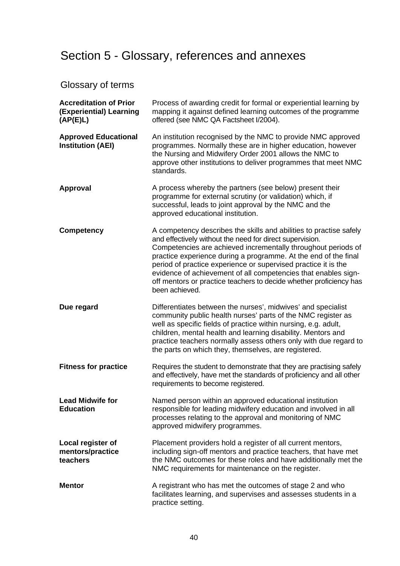# Section 5 - Glossary, references and annexes

# Glossary of terms

| <b>Accreditation of Prior</b><br>(Experiential) Learning<br>(AP(E)L) | Process of awarding credit for formal or experiential learning by<br>mapping it against defined learning outcomes of the programme<br>offered (see NMC QA Factsheet I/2004).                                                                                                                                                                                                                                                                                                                   |
|----------------------------------------------------------------------|------------------------------------------------------------------------------------------------------------------------------------------------------------------------------------------------------------------------------------------------------------------------------------------------------------------------------------------------------------------------------------------------------------------------------------------------------------------------------------------------|
| <b>Approved Educational</b><br><b>Institution (AEI)</b>              | An institution recognised by the NMC to provide NMC approved<br>programmes. Normally these are in higher education, however<br>the Nursing and Midwifery Order 2001 allows the NMC to<br>approve other institutions to deliver programmes that meet NMC<br>standards.                                                                                                                                                                                                                          |
| <b>Approval</b>                                                      | A process whereby the partners (see below) present their<br>programme for external scrutiny (or validation) which, if<br>successful, leads to joint approval by the NMC and the<br>approved educational institution.                                                                                                                                                                                                                                                                           |
| <b>Competency</b>                                                    | A competency describes the skills and abilities to practise safely<br>and effectively without the need for direct supervision.<br>Competencies are achieved incrementally throughout periods of<br>practice experience during a programme. At the end of the final<br>period of practice experience or supervised practice it is the<br>evidence of achievement of all competencies that enables sign-<br>off mentors or practice teachers to decide whether proficiency has<br>been achieved. |
| Due regard                                                           | Differentiates between the nurses', midwives' and specialist<br>community public health nurses' parts of the NMC register as<br>well as specific fields of practice within nursing, e.g. adult,<br>children, mental health and learning disability. Mentors and<br>practice teachers normally assess others only with due regard to<br>the parts on which they, themselves, are registered.                                                                                                    |
| <b>Fitness for practice</b>                                          | Requires the student to demonstrate that they are practising safely<br>and effectively, have met the standards of proficiency and all other<br>requirements to become registered.                                                                                                                                                                                                                                                                                                              |
| <b>Lead Midwife for</b><br><b>Education</b>                          | Named person within an approved educational institution<br>responsible for leading midwifery education and involved in all<br>processes relating to the approval and monitoring of NMC<br>approved midwifery programmes.                                                                                                                                                                                                                                                                       |
| Local register of<br>mentors/practice<br>teachers                    | Placement providers hold a register of all current mentors,<br>including sign-off mentors and practice teachers, that have met<br>the NMC outcomes for these roles and have additionally met the<br>NMC requirements for maintenance on the register.                                                                                                                                                                                                                                          |
| <b>Mentor</b>                                                        | A registrant who has met the outcomes of stage 2 and who<br>facilitates learning, and supervises and assesses students in a<br>practice setting.                                                                                                                                                                                                                                                                                                                                               |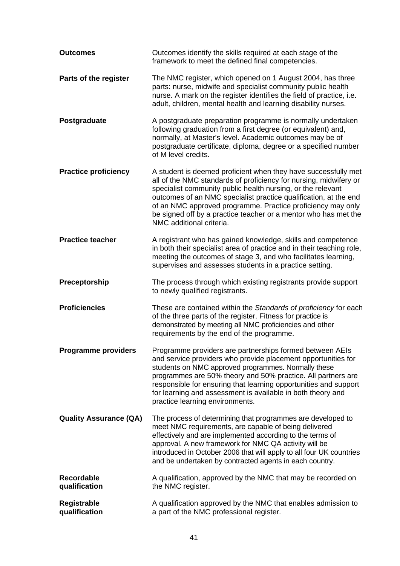| <b>Outcomes</b>                    | Outcomes identify the skills required at each stage of the<br>framework to meet the defined final competencies.                                                                                                                                                                                                                                                                                                                      |
|------------------------------------|--------------------------------------------------------------------------------------------------------------------------------------------------------------------------------------------------------------------------------------------------------------------------------------------------------------------------------------------------------------------------------------------------------------------------------------|
| Parts of the register              | The NMC register, which opened on 1 August 2004, has three<br>parts: nurse, midwife and specialist community public health<br>nurse. A mark on the register identifies the field of practice, i.e.<br>adult, children, mental health and learning disability nurses.                                                                                                                                                                 |
| Postgraduate                       | A postgraduate preparation programme is normally undertaken<br>following graduation from a first degree (or equivalent) and,<br>normally, at Master's level. Academic outcomes may be of<br>postgraduate certificate, diploma, degree or a specified number<br>of M level credits.                                                                                                                                                   |
| <b>Practice proficiency</b>        | A student is deemed proficient when they have successfully met<br>all of the NMC standards of proficiency for nursing, midwifery or<br>specialist community public health nursing, or the relevant<br>outcomes of an NMC specialist practice qualification, at the end<br>of an NMC approved programme. Practice proficiency may only<br>be signed off by a practice teacher or a mentor who has met the<br>NMC additional criteria. |
| <b>Practice teacher</b>            | A registrant who has gained knowledge, skills and competence<br>in both their specialist area of practice and in their teaching role,<br>meeting the outcomes of stage 3, and who facilitates learning,<br>supervises and assesses students in a practice setting.                                                                                                                                                                   |
| Preceptorship                      | The process through which existing registrants provide support<br>to newly qualified registrants.                                                                                                                                                                                                                                                                                                                                    |
| <b>Proficiencies</b>               | These are contained within the Standards of proficiency for each<br>of the three parts of the register. Fitness for practice is<br>demonstrated by meeting all NMC proficiencies and other<br>requirements by the end of the programme.                                                                                                                                                                                              |
| <b>Programme providers</b>         | Programme providers are partnerships formed between AEIs<br>and service providers who provide placement opportunities for<br>students on NMC approved programmes. Normally these<br>programmes are 50% theory and 50% practice. All partners are<br>responsible for ensuring that learning opportunities and support<br>for learning and assessment is available in both theory and<br>practice learning environments.               |
| <b>Quality Assurance (QA)</b>      | The process of determining that programmes are developed to<br>meet NMC requirements, are capable of being delivered<br>effectively and are implemented according to the terms of<br>approval. A new framework for NMC QA activity will be<br>introduced in October 2006 that will apply to all four UK countries<br>and be undertaken by contracted agents in each country.                                                         |
| <b>Recordable</b><br>qualification | A qualification, approved by the NMC that may be recorded on<br>the NMC register.                                                                                                                                                                                                                                                                                                                                                    |
| Registrable<br>qualification       | A qualification approved by the NMC that enables admission to<br>a part of the NMC professional register.                                                                                                                                                                                                                                                                                                                            |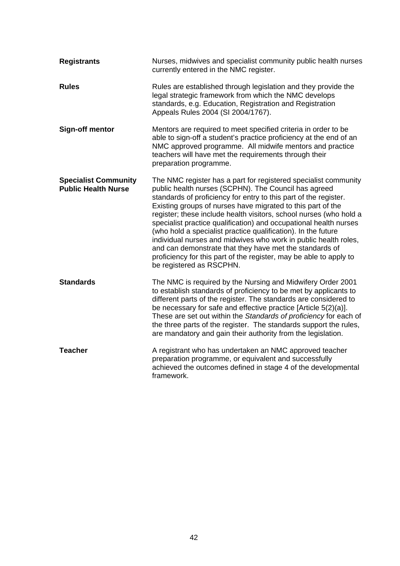| <b>Registrants</b>                                        | Nurses, midwives and specialist community public health nurses<br>currently entered in the NMC register.                                                                                                                                                                                                                                                                                                                                                                                                                                                                                                                                                                                               |
|-----------------------------------------------------------|--------------------------------------------------------------------------------------------------------------------------------------------------------------------------------------------------------------------------------------------------------------------------------------------------------------------------------------------------------------------------------------------------------------------------------------------------------------------------------------------------------------------------------------------------------------------------------------------------------------------------------------------------------------------------------------------------------|
| <b>Rules</b>                                              | Rules are established through legislation and they provide the<br>legal strategic framework from which the NMC develops<br>standards, e.g. Education, Registration and Registration<br>Appeals Rules 2004 (SI 2004/1767).                                                                                                                                                                                                                                                                                                                                                                                                                                                                              |
| <b>Sign-off mentor</b>                                    | Mentors are required to meet specified criteria in order to be<br>able to sign-off a student's practice proficiency at the end of an<br>NMC approved programme. All midwife mentors and practice<br>teachers will have met the requirements through their<br>preparation programme.                                                                                                                                                                                                                                                                                                                                                                                                                    |
| <b>Specialist Community</b><br><b>Public Health Nurse</b> | The NMC register has a part for registered specialist community<br>public health nurses (SCPHN). The Council has agreed<br>standards of proficiency for entry to this part of the register.<br>Existing groups of nurses have migrated to this part of the<br>register; these include health visitors, school nurses (who hold a<br>specialist practice qualification) and occupational health nurses<br>(who hold a specialist practice qualification). In the future<br>individual nurses and midwives who work in public health roles,<br>and can demonstrate that they have met the standards of<br>proficiency for this part of the register, may be able to apply to<br>be registered as RSCPHN. |
| <b>Standards</b>                                          | The NMC is required by the Nursing and Midwifery Order 2001<br>to establish standards of proficiency to be met by applicants to<br>different parts of the register. The standards are considered to<br>be necessary for safe and effective practice [Article 5(2)(a)].<br>These are set out within the Standards of proficiency for each of<br>the three parts of the register. The standards support the rules,<br>are mandatory and gain their authority from the legislation.                                                                                                                                                                                                                       |
| <b>Teacher</b>                                            | A registrant who has undertaken an NMC approved teacher<br>preparation programme, or equivalent and successfully<br>achieved the outcomes defined in stage 4 of the developmental<br>framework.                                                                                                                                                                                                                                                                                                                                                                                                                                                                                                        |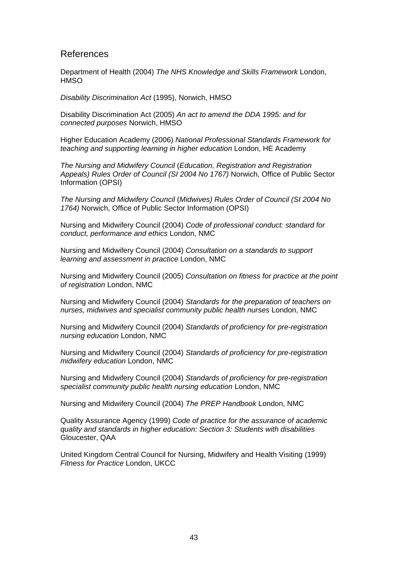#### References

Department of Health (2004) *The NHS Knowledge and Skills Framework* London, **HMSO** 

*Disability Discrimination Act* (1995), Norwich, HMSO

Disability Discrimination Act (2005) *An act to amend the DDA 1995: and for connected purposes* Norwich, HMSO

Higher Education Academy (2006) *National Professional Standards Framework for teaching and supporting learning in higher education* London, HE Academy

*The Nursing and Midwifery Council* (*Education, Registration and Registration Appeals) Rules Order of Council (SI 2004 No 1767)* Norwich, Office of Public Sector Information (OPSI)

*The Nursing and Midwifery Council* (*Midwives) Rules Order of Council (SI 2004 No 1764)* Norwich, Office of Public Sector Information (OPSI)

Nursing and Midwifery Council (2004) *Code of professional conduct: standard for conduct, performance and ethics* London, NMC

Nursing and Midwifery Council (2004) *Consultation on a standards to support learning and assessment in practice* London, NMC

Nursing and Midwifery Council (2005) *Consultation on fitness for practice at the point of registration* London, NMC

Nursing and Midwifery Council (2004) *Standards for the preparation of teachers on nurses, midwives and specialist community public health nurses* London, NMC

Nursing and Midwifery Council (2004) *Standards of proficiency for pre-registration nursing education* London, NMC

Nursing and Midwifery Council (2004) *Standards of proficiency for pre-registration midwifery education* London, NMC

Nursing and Midwifery Council (2004) *Standards of proficiency for pre-registration specialist community public health nursing education* London, NMC

Nursing and Midwifery Council (2004) *The PREP Handbook* London, NMC

Quality Assurance Agency (1999) *Code of practice for the assurance of academic quality and standards in higher education: Section 3: Students with disabilities* Gloucester, QAA

United Kingdom Central Council for Nursing, Midwifery and Health Visiting (1999) *Fitness for Practice* London, UKCC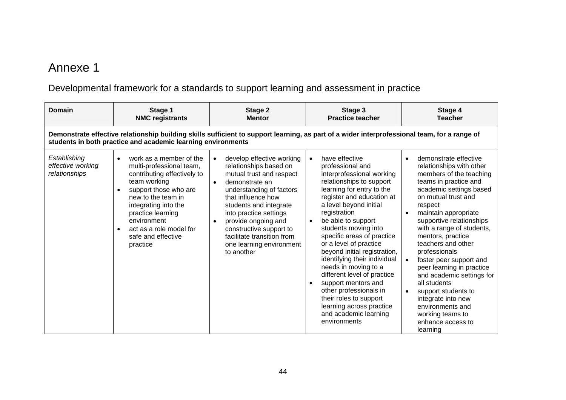# Annexe 1

# Developmental framework for a standards to support learning and assessment in practice

| <b>Domain</b>                                      | Stage 1<br><b>NMC registrants</b>                                                                                                                                                                                                                                                       | Stage 2<br><b>Mentor</b>                                                                                                                                                                                                                                                                                                                                                 | Stage 3<br><b>Practice teacher</b>                                                                                                                                                                                                                                                                                                                                                                                                                                                                                                                                                                                  | Stage 4<br><b>Teacher</b>                                                                                                                                                                                                                                                                                                                                                                                                                                                                                                                               |
|----------------------------------------------------|-----------------------------------------------------------------------------------------------------------------------------------------------------------------------------------------------------------------------------------------------------------------------------------------|--------------------------------------------------------------------------------------------------------------------------------------------------------------------------------------------------------------------------------------------------------------------------------------------------------------------------------------------------------------------------|---------------------------------------------------------------------------------------------------------------------------------------------------------------------------------------------------------------------------------------------------------------------------------------------------------------------------------------------------------------------------------------------------------------------------------------------------------------------------------------------------------------------------------------------------------------------------------------------------------------------|---------------------------------------------------------------------------------------------------------------------------------------------------------------------------------------------------------------------------------------------------------------------------------------------------------------------------------------------------------------------------------------------------------------------------------------------------------------------------------------------------------------------------------------------------------|
|                                                    | students in both practice and academic learning environments                                                                                                                                                                                                                            | Demonstrate effective relationship building skills sufficient to support learning, as part of a wider interprofessional team, for a range of                                                                                                                                                                                                                             |                                                                                                                                                                                                                                                                                                                                                                                                                                                                                                                                                                                                                     |                                                                                                                                                                                                                                                                                                                                                                                                                                                                                                                                                         |
| Establishing<br>effective working<br>relationships | work as a member of the<br>$\bullet$<br>multi-professional team,<br>contributing effectively to<br>team working<br>support those who are<br>new to the team in<br>integrating into the<br>practice learning<br>environment<br>act as a role model for<br>safe and effective<br>practice | develop effective working<br>$\bullet$<br>relationships based on<br>mutual trust and respect<br>demonstrate an<br>$\bullet$<br>understanding of factors<br>that influence how<br>students and integrate<br>into practice settings<br>provide ongoing and<br>$\bullet$<br>constructive support to<br>facilitate transition from<br>one learning environment<br>to another | have effective<br>$\bullet$<br>professional and<br>interprofessional working<br>relationships to support<br>learning for entry to the<br>register and education at<br>a level beyond initial<br>registration<br>be able to support<br>$\bullet$<br>students moving into<br>specific areas of practice<br>or a level of practice<br>beyond initial registration,<br>identifying their individual<br>needs in moving to a<br>different level of practice<br>support mentors and<br>$\bullet$<br>other professionals in<br>their roles to support<br>learning across practice<br>and academic learning<br>environments | demonstrate effective<br>$\bullet$<br>relationships with other<br>members of the teaching<br>teams in practice and<br>academic settings based<br>on mutual trust and<br>respect<br>maintain appropriate<br>supportive relationships<br>with a range of students,<br>mentors, practice<br>teachers and other<br>professionals<br>foster peer support and<br>peer learning in practice<br>and academic settings for<br>all students<br>support students to<br>integrate into new<br>environments and<br>working teams to<br>enhance access to<br>learning |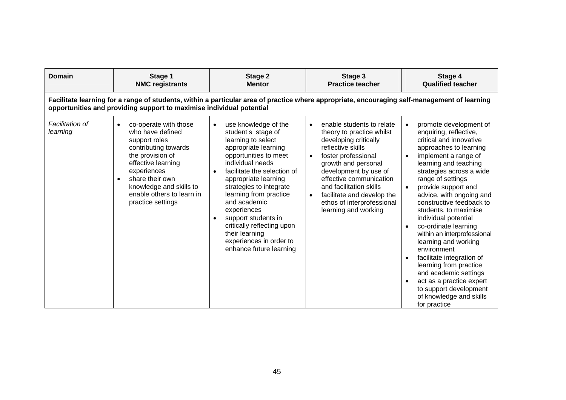| Domain                      | Stage 1<br><b>NMC registrants</b>                                                                                                                                                                                                                                     | Stage 2<br><b>Mentor</b>                                                                                                                                                                                                                                                                                                                                                                                                   | Stage 3<br><b>Practice teacher</b>                                                                                                                                                                                                                                                                                                                           | Stage 4<br><b>Qualified teacher</b>                                                                                                                                                                                                                                                                                                                                                                                                                                                                                                                                                                                                 |  |  |  |
|-----------------------------|-----------------------------------------------------------------------------------------------------------------------------------------------------------------------------------------------------------------------------------------------------------------------|----------------------------------------------------------------------------------------------------------------------------------------------------------------------------------------------------------------------------------------------------------------------------------------------------------------------------------------------------------------------------------------------------------------------------|--------------------------------------------------------------------------------------------------------------------------------------------------------------------------------------------------------------------------------------------------------------------------------------------------------------------------------------------------------------|-------------------------------------------------------------------------------------------------------------------------------------------------------------------------------------------------------------------------------------------------------------------------------------------------------------------------------------------------------------------------------------------------------------------------------------------------------------------------------------------------------------------------------------------------------------------------------------------------------------------------------------|--|--|--|
|                             | Facilitate learning for a range of students, within a particular area of practice where appropriate, encouraging self-management of learning<br>opportunities and providing support to maximise individual potential                                                  |                                                                                                                                                                                                                                                                                                                                                                                                                            |                                                                                                                                                                                                                                                                                                                                                              |                                                                                                                                                                                                                                                                                                                                                                                                                                                                                                                                                                                                                                     |  |  |  |
| Facilitation of<br>learning | co-operate with those<br>$\bullet$<br>who have defined<br>support roles<br>contributing towards<br>the provision of<br>effective learning<br>experiences<br>share their own<br>$\bullet$<br>knowledge and skills to<br>enable others to learn in<br>practice settings | use knowledge of the<br>$\bullet$<br>student's stage of<br>learning to select<br>appropriate learning<br>opportunities to meet<br>individual needs<br>facilitate the selection of<br>appropriate learning<br>strategies to integrate<br>learning from practice<br>and academic<br>experiences<br>support students in<br>critically reflecting upon<br>their learning<br>experiences in order to<br>enhance future learning | enable students to relate<br>$\bullet$<br>theory to practice whilst<br>developing critically<br>reflective skills<br>foster professional<br>$\bullet$<br>growth and personal<br>development by use of<br>effective communication<br>and facilitation skills<br>facilitate and develop the<br>$\bullet$<br>ethos of interprofessional<br>learning and working | promote development of<br>enquiring, reflective,<br>critical and innovative<br>approaches to learning<br>implement a range of<br>learning and teaching<br>strategies across a wide<br>range of settings<br>provide support and<br>advice, with ongoing and<br>constructive feedback to<br>students, to maximise<br>individual potential<br>co-ordinate learning<br>$\bullet$<br>within an interprofessional<br>learning and working<br>environment<br>facilitate integration of<br>learning from practice<br>and academic settings<br>act as a practice expert<br>to support development<br>of knowledge and skills<br>for practice |  |  |  |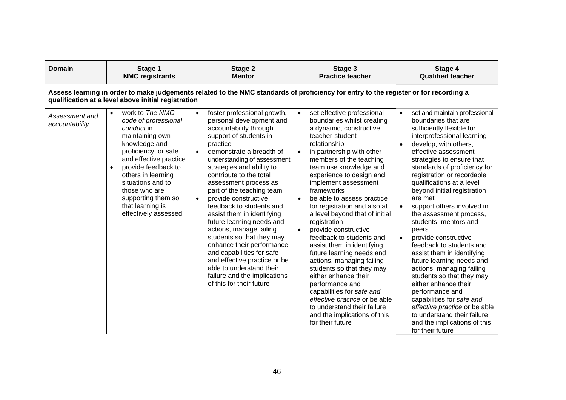| Domain                           | Stage 1<br><b>NMC registrants</b>                                                                                                                                                                                                                                                                                          | Stage 2<br><b>Mentor</b>                                                                                                                                                                                                                                                                                                                                                                                                                                                                                                                                                                                                                                                                         | Stage 3<br><b>Practice teacher</b>                                                                                                                                                                                                                                                                                                                                                                                                                                                                                                                                                                                                                                                                                                                                                                                  | Stage 4<br><b>Qualified teacher</b>                                                                                                                                                                                                                                                                                                                                                                                                                                                                                                                                                                                                                                                                                                                                                                             |
|----------------------------------|----------------------------------------------------------------------------------------------------------------------------------------------------------------------------------------------------------------------------------------------------------------------------------------------------------------------------|--------------------------------------------------------------------------------------------------------------------------------------------------------------------------------------------------------------------------------------------------------------------------------------------------------------------------------------------------------------------------------------------------------------------------------------------------------------------------------------------------------------------------------------------------------------------------------------------------------------------------------------------------------------------------------------------------|---------------------------------------------------------------------------------------------------------------------------------------------------------------------------------------------------------------------------------------------------------------------------------------------------------------------------------------------------------------------------------------------------------------------------------------------------------------------------------------------------------------------------------------------------------------------------------------------------------------------------------------------------------------------------------------------------------------------------------------------------------------------------------------------------------------------|-----------------------------------------------------------------------------------------------------------------------------------------------------------------------------------------------------------------------------------------------------------------------------------------------------------------------------------------------------------------------------------------------------------------------------------------------------------------------------------------------------------------------------------------------------------------------------------------------------------------------------------------------------------------------------------------------------------------------------------------------------------------------------------------------------------------|
|                                  | qualification at a level above initial registration                                                                                                                                                                                                                                                                        | Assess learning in order to make judgements related to the NMC standards of proficiency for entry to the register or for recording a                                                                                                                                                                                                                                                                                                                                                                                                                                                                                                                                                             |                                                                                                                                                                                                                                                                                                                                                                                                                                                                                                                                                                                                                                                                                                                                                                                                                     |                                                                                                                                                                                                                                                                                                                                                                                                                                                                                                                                                                                                                                                                                                                                                                                                                 |
| Assessment and<br>accountability | work to The NMC<br>$\bullet$<br>code of professional<br>conduct in<br>maintaining own<br>knowledge and<br>proficiency for safe<br>and effective practice<br>provide feedback to<br>$\bullet$<br>others in learning<br>situations and to<br>those who are<br>supporting them so<br>that learning is<br>effectively assessed | foster professional growth,<br>$\bullet$<br>personal development and<br>accountability through<br>support of students in<br>practice<br>demonstrate a breadth of<br>$\bullet$<br>understanding of assessment<br>strategies and ability to<br>contribute to the total<br>assessment process as<br>part of the teaching team<br>provide constructive<br>$\bullet$<br>feedback to students and<br>assist them in identifying<br>future learning needs and<br>actions, manage failing<br>students so that they may<br>enhance their performance<br>and capabilities for safe<br>and effective practice or be<br>able to understand their<br>failure and the implications<br>of this for their future | set effective professional<br>$\bullet$<br>boundaries whilst creating<br>a dynamic, constructive<br>teacher-student<br>relationship<br>in partnership with other<br>$\bullet$<br>members of the teaching<br>team use knowledge and<br>experience to design and<br>implement assessment<br>frameworks<br>be able to assess practice<br>$\bullet$<br>for registration and also at<br>a level beyond that of initial<br>registration<br>provide constructive<br>$\bullet$<br>feedback to students and<br>assist them in identifying<br>future learning needs and<br>actions, managing failing<br>students so that they may<br>either enhance their<br>performance and<br>capabilities for safe and<br>effective practice or be able<br>to understand their failure<br>and the implications of this<br>for their future | set and maintain professional<br>$\bullet$<br>boundaries that are<br>sufficiently flexible for<br>interprofessional learning<br>develop, with others,<br>effective assessment<br>strategies to ensure that<br>standards of proficiency for<br>registration or recordable<br>qualifications at a level<br>beyond initial registration<br>are met<br>support others involved in<br>the assessment process,<br>students, mentors and<br>peers<br>provide constructive<br>feedback to students and<br>assist them in identifying<br>future learning needs and<br>actions, managing failing<br>students so that they may<br>either enhance their<br>performance and<br>capabilities for safe and<br>effective practice or be able<br>to understand their failure<br>and the implications of this<br>for their future |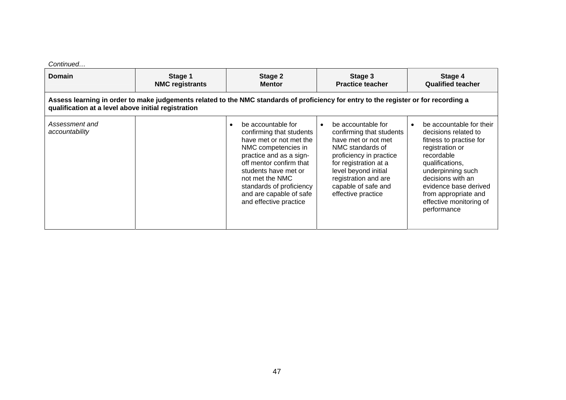#### *Continued…*

| Domain                                              | Stage 1<br><b>NMC registrants</b>                                                                                                    | Stage 2<br><b>Mentor</b>                                                                                                                                                                                                                                                           | Stage 3<br><b>Practice teacher</b>                                                                                                                                                                                                         | Stage 4<br><b>Qualified teacher</b>                                                                                                                                                                                                                                               |
|-----------------------------------------------------|--------------------------------------------------------------------------------------------------------------------------------------|------------------------------------------------------------------------------------------------------------------------------------------------------------------------------------------------------------------------------------------------------------------------------------|--------------------------------------------------------------------------------------------------------------------------------------------------------------------------------------------------------------------------------------------|-----------------------------------------------------------------------------------------------------------------------------------------------------------------------------------------------------------------------------------------------------------------------------------|
| qualification at a level above initial registration | Assess learning in order to make judgements related to the NMC standards of proficiency for entry to the register or for recording a |                                                                                                                                                                                                                                                                                    |                                                                                                                                                                                                                                            |                                                                                                                                                                                                                                                                                   |
| Assessment and<br>accountability                    |                                                                                                                                      | be accountable for<br>confirming that students<br>have met or not met the<br>NMC competencies in<br>practice and as a sign-<br>off mentor confirm that<br>students have met or<br>not met the NMC<br>standards of proficiency<br>and are capable of safe<br>and effective practice | be accountable for<br>confirming that students<br>have met or not met<br>NMC standards of<br>proficiency in practice<br>for registration at a<br>level beyond initial<br>registration and are<br>capable of safe and<br>effective practice | be accountable for their<br>$\bullet$<br>decisions related to<br>fitness to practise for<br>registration or<br>recordable<br>qualifications,<br>underpinning such<br>decisions with an<br>evidence base derived<br>from appropriate and<br>effective monitoring of<br>performance |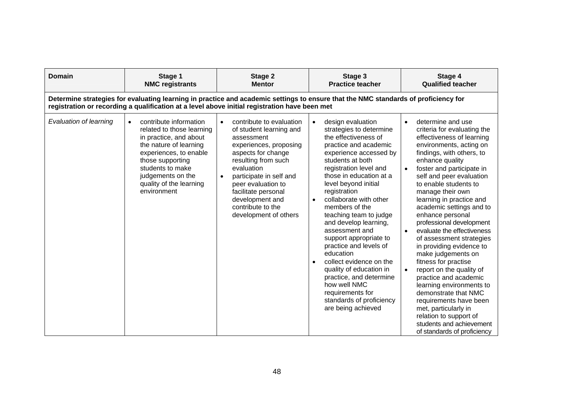| <b>Domain</b>          | Stage 1<br><b>NMC registrants</b>                                                                                                                                                                                                                     | Stage 2<br><b>Mentor</b>                                                                                                                                                                                                                                                                        | Stage 3<br><b>Practice teacher</b>                                                                                                                                                                                                                                                                                                                                                                                                                                                                                                                                                                                                       | Stage 4<br><b>Qualified teacher</b>                                                                                                                                                                                                                                                                                                                                                                                                                                                                                                                                                                                                                                                                                                                                     |
|------------------------|-------------------------------------------------------------------------------------------------------------------------------------------------------------------------------------------------------------------------------------------------------|-------------------------------------------------------------------------------------------------------------------------------------------------------------------------------------------------------------------------------------------------------------------------------------------------|------------------------------------------------------------------------------------------------------------------------------------------------------------------------------------------------------------------------------------------------------------------------------------------------------------------------------------------------------------------------------------------------------------------------------------------------------------------------------------------------------------------------------------------------------------------------------------------------------------------------------------------|-------------------------------------------------------------------------------------------------------------------------------------------------------------------------------------------------------------------------------------------------------------------------------------------------------------------------------------------------------------------------------------------------------------------------------------------------------------------------------------------------------------------------------------------------------------------------------------------------------------------------------------------------------------------------------------------------------------------------------------------------------------------------|
|                        |                                                                                                                                                                                                                                                       | Determine strategies for evaluating learning in practice and academic settings to ensure that the NMC standards of proficiency for<br>registration or recording a qualification at a level above initial registration have been met                                                             |                                                                                                                                                                                                                                                                                                                                                                                                                                                                                                                                                                                                                                          |                                                                                                                                                                                                                                                                                                                                                                                                                                                                                                                                                                                                                                                                                                                                                                         |
| Evaluation of learning | contribute information<br>$\bullet$<br>related to those learning<br>in practice, and about<br>the nature of learning<br>experiences, to enable<br>those supporting<br>students to make<br>judgements on the<br>quality of the learning<br>environment | contribute to evaluation<br>of student learning and<br>assessment<br>experiences, proposing<br>aspects for change<br>resulting from such<br>evaluation<br>participate in self and<br>peer evaluation to<br>facilitate personal<br>development and<br>contribute to the<br>development of others | design evaluation<br>$\bullet$<br>strategies to determine<br>the effectiveness of<br>practice and academic<br>experience accessed by<br>students at both<br>registration level and<br>those in education at a<br>level beyond initial<br>registration<br>collaborate with other<br>$\bullet$<br>members of the<br>teaching team to judge<br>and develop learning,<br>assessment and<br>support appropriate to<br>practice and levels of<br>education<br>collect evidence on the<br>$\bullet$<br>quality of education in<br>practice, and determine<br>how well NMC<br>requirements for<br>standards of proficiency<br>are being achieved | determine and use<br>$\bullet$<br>criteria for evaluating the<br>effectiveness of learning<br>environments, acting on<br>findings, with others, to<br>enhance quality<br>foster and participate in<br>self and peer evaluation<br>to enable students to<br>manage their own<br>learning in practice and<br>academic settings and to<br>enhance personal<br>professional development<br>evaluate the effectiveness<br>of assessment strategies<br>in providing evidence to<br>make judgements on<br>fitness for practise<br>report on the quality of<br>practice and academic<br>learning environments to<br>demonstrate that NMC<br>requirements have been<br>met, particularly in<br>relation to support of<br>students and achievement<br>of standards of proficiency |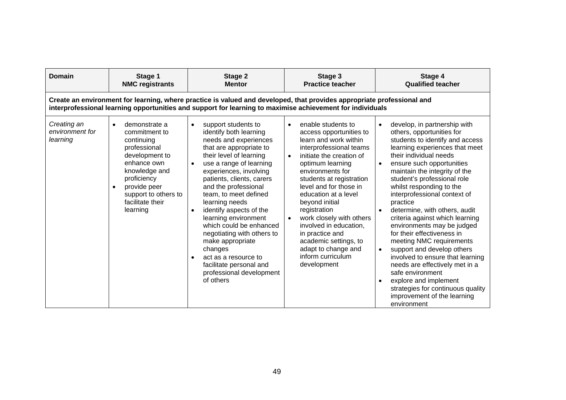| Domain                                     | Stage 1<br><b>NMC registrants</b>                                                                                                                                                                                                   | Stage 2<br><b>Mentor</b>                                                                                                                                                                                                                                                                                                                                                                                                                                                                                                              | Stage 3<br><b>Practice teacher</b>                                                                                                                                                                                                                                                                                                                                                                                                                              | Stage 4<br><b>Qualified teacher</b>                                                                                                                                                                                                                                                                                                                                                                                                                                                                                                                                                                                                                                                                                                                                                            |  |  |
|--------------------------------------------|-------------------------------------------------------------------------------------------------------------------------------------------------------------------------------------------------------------------------------------|---------------------------------------------------------------------------------------------------------------------------------------------------------------------------------------------------------------------------------------------------------------------------------------------------------------------------------------------------------------------------------------------------------------------------------------------------------------------------------------------------------------------------------------|-----------------------------------------------------------------------------------------------------------------------------------------------------------------------------------------------------------------------------------------------------------------------------------------------------------------------------------------------------------------------------------------------------------------------------------------------------------------|------------------------------------------------------------------------------------------------------------------------------------------------------------------------------------------------------------------------------------------------------------------------------------------------------------------------------------------------------------------------------------------------------------------------------------------------------------------------------------------------------------------------------------------------------------------------------------------------------------------------------------------------------------------------------------------------------------------------------------------------------------------------------------------------|--|--|
|                                            | Create an environment for learning, where practice is valued and developed, that provides appropriate professional and<br>interprofessional learning opportunities and support for learning to maximise achievement for individuals |                                                                                                                                                                                                                                                                                                                                                                                                                                                                                                                                       |                                                                                                                                                                                                                                                                                                                                                                                                                                                                 |                                                                                                                                                                                                                                                                                                                                                                                                                                                                                                                                                                                                                                                                                                                                                                                                |  |  |
| Creating an<br>environment for<br>learning | demonstrate a<br>$\bullet$<br>commitment to<br>continuing<br>professional<br>development to<br>enhance own<br>knowledge and<br>proficiency<br>provide peer<br>support to others to<br>facilitate their<br>learning                  | support students to<br>identify both learning<br>needs and experiences<br>that are appropriate to<br>their level of learning<br>use a range of learning<br>experiences, involving<br>patients, clients, carers<br>and the professional<br>team, to meet defined<br>learning needs<br>identify aspects of the<br>$\bullet$<br>learning environment<br>which could be enhanced<br>negotiating with others to<br>make appropriate<br>changes<br>act as a resource to<br>facilitate personal and<br>professional development<br>of others | enable students to<br>access opportunities to<br>learn and work within<br>interprofessional teams<br>initiate the creation of<br>$\bullet$<br>optimum learning<br>environments for<br>students at registration<br>level and for those in<br>education at a level<br>beyond initial<br>registration<br>work closely with others<br>involved in education,<br>in practice and<br>academic settings, to<br>adapt to change and<br>inform curriculum<br>development | develop, in partnership with<br>$\bullet$<br>others, opportunities for<br>students to identify and access<br>learning experiences that meet<br>their individual needs<br>ensure such opportunities<br>$\bullet$<br>maintain the integrity of the<br>student's professional role<br>whilst responding to the<br>interprofessional context of<br>practice<br>determine, with others, audit<br>$\bullet$<br>criteria against which learning<br>environments may be judged<br>for their effectiveness in<br>meeting NMC requirements<br>support and develop others<br>$\bullet$<br>involved to ensure that learning<br>needs are effectively met in a<br>safe environment<br>explore and implement<br>$\bullet$<br>strategies for continuous quality<br>improvement of the learning<br>environment |  |  |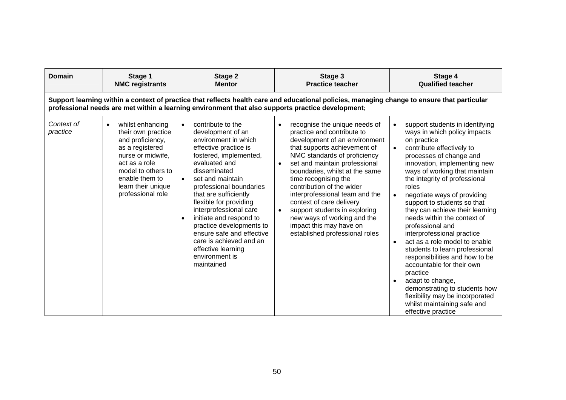| Domain                 | Stage 1<br><b>NMC registrants</b>                                                                                                                                                                      | Stage 2<br><b>Mentor</b>                                                                                                                                                                                                                                                                                                                                                                                                                                                                   | Stage 3<br><b>Practice teacher</b>                                                                                                                                                                                                                                                                                                                                                                                                                                                                                     | Stage 4<br><b>Qualified teacher</b>                                                                                                                                                                                                                                                                                                                                                                                                                                                                                                                                                                                                                                                                                                                                                             |
|------------------------|--------------------------------------------------------------------------------------------------------------------------------------------------------------------------------------------------------|--------------------------------------------------------------------------------------------------------------------------------------------------------------------------------------------------------------------------------------------------------------------------------------------------------------------------------------------------------------------------------------------------------------------------------------------------------------------------------------------|------------------------------------------------------------------------------------------------------------------------------------------------------------------------------------------------------------------------------------------------------------------------------------------------------------------------------------------------------------------------------------------------------------------------------------------------------------------------------------------------------------------------|-------------------------------------------------------------------------------------------------------------------------------------------------------------------------------------------------------------------------------------------------------------------------------------------------------------------------------------------------------------------------------------------------------------------------------------------------------------------------------------------------------------------------------------------------------------------------------------------------------------------------------------------------------------------------------------------------------------------------------------------------------------------------------------------------|
|                        |                                                                                                                                                                                                        | professional needs are met within a learning environment that also supports practice development;                                                                                                                                                                                                                                                                                                                                                                                          | Support learning within a context of practice that reflects health care and educational policies, managing change to ensure that particular                                                                                                                                                                                                                                                                                                                                                                            |                                                                                                                                                                                                                                                                                                                                                                                                                                                                                                                                                                                                                                                                                                                                                                                                 |
| Context of<br>practice | whilst enhancing<br>their own practice<br>and proficiency,<br>as a registered<br>nurse or midwife,<br>act as a role<br>model to others to<br>enable them to<br>learn their unique<br>professional role | contribute to the<br>$\bullet$<br>development of an<br>environment in which<br>effective practice is<br>fostered, implemented,<br>evaluated and<br>disseminated<br>set and maintain<br>$\bullet$<br>professional boundaries<br>that are sufficiently<br>flexible for providing<br>interprofessional care<br>initiate and respond to<br>$\bullet$<br>practice developments to<br>ensure safe and effective<br>care is achieved and an<br>effective learning<br>environment is<br>maintained | recognise the unique needs of<br>$\bullet$<br>practice and contribute to<br>development of an environment<br>that supports achievement of<br>NMC standards of proficiency<br>set and maintain professional<br>$\bullet$<br>boundaries, whilst at the same<br>time recognising the<br>contribution of the wider<br>interprofessional team and the<br>context of care delivery<br>support students in exploring<br>$\bullet$<br>new ways of working and the<br>impact this may have on<br>established professional roles | support students in identifying<br>$\bullet$<br>ways in which policy impacts<br>on practice<br>contribute effectively to<br>$\bullet$<br>processes of change and<br>innovation, implementing new<br>ways of working that maintain<br>the integrity of professional<br>roles<br>negotiate ways of providing<br>$\bullet$<br>support to students so that<br>they can achieve their learning<br>needs within the context of<br>professional and<br>interprofessional practice<br>act as a role model to enable<br>$\bullet$<br>students to learn professional<br>responsibilities and how to be<br>accountable for their own<br>practice<br>adapt to change,<br>$\bullet$<br>demonstrating to students how<br>flexibility may be incorporated<br>whilst maintaining safe and<br>effective practice |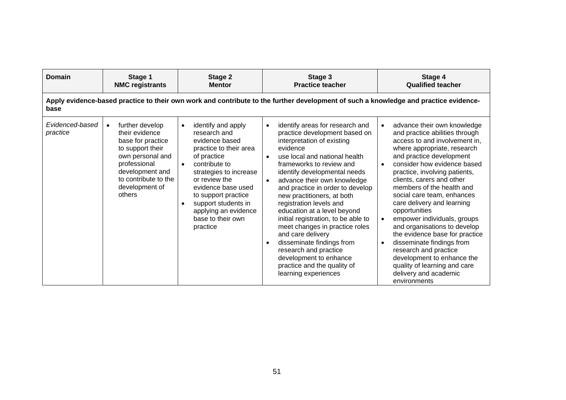| Domain                      | Stage 1<br><b>NMC registrants</b>                                                                                                                                                                  | Stage 2<br><b>Mentor</b>                                                                                                                                                                                                                                                                                         | Stage 3<br><b>Practice teacher</b>                                                                                                                                                                                                                                                                                                                                                                                                                                                                                                                                                                                                | Stage 4<br><b>Qualified teacher</b>                                                                                                                                                                                                                                                                                                                                                                                                                                                                                                                                                                                                         |  |  |
|-----------------------------|----------------------------------------------------------------------------------------------------------------------------------------------------------------------------------------------------|------------------------------------------------------------------------------------------------------------------------------------------------------------------------------------------------------------------------------------------------------------------------------------------------------------------|-----------------------------------------------------------------------------------------------------------------------------------------------------------------------------------------------------------------------------------------------------------------------------------------------------------------------------------------------------------------------------------------------------------------------------------------------------------------------------------------------------------------------------------------------------------------------------------------------------------------------------------|---------------------------------------------------------------------------------------------------------------------------------------------------------------------------------------------------------------------------------------------------------------------------------------------------------------------------------------------------------------------------------------------------------------------------------------------------------------------------------------------------------------------------------------------------------------------------------------------------------------------------------------------|--|--|
| base                        | Apply evidence-based practice to their own work and contribute to the further development of such a knowledge and practice evidence-                                                               |                                                                                                                                                                                                                                                                                                                  |                                                                                                                                                                                                                                                                                                                                                                                                                                                                                                                                                                                                                                   |                                                                                                                                                                                                                                                                                                                                                                                                                                                                                                                                                                                                                                             |  |  |
| Evidenced-based<br>practice | further develop<br>$\bullet$<br>their evidence<br>base for practice<br>to support their<br>own personal and<br>professional<br>development and<br>to contribute to the<br>development of<br>others | identify and apply<br>$\bullet$<br>research and<br>evidence based<br>practice to their area<br>of practice<br>contribute to<br>strategies to increase<br>or review the<br>evidence base used<br>to support practice<br>support students in<br>$\bullet$<br>applying an evidence<br>base to their own<br>practice | identify areas for research and<br>$\bullet$<br>practice development based on<br>interpretation of existing<br>evidence<br>use local and national health<br>frameworks to review and<br>identify developmental needs<br>advance their own knowledge<br>$\bullet$<br>and practice in order to develop<br>new practitioners, at both<br>registration levels and<br>education at a level beyond<br>initial registration, to be able to<br>meet changes in practice roles<br>and care delivery<br>disseminate findings from<br>research and practice<br>development to enhance<br>practice and the quality of<br>learning experiences | advance their own knowledge<br>and practice abilities through<br>access to and involvement in,<br>where appropriate, research<br>and practice development<br>consider how evidence based<br>$\bullet$<br>practice, involving patients,<br>clients, carers and other<br>members of the health and<br>social care team, enhances<br>care delivery and learning<br>opportunities<br>empower individuals, groups<br>and organisations to develop<br>the evidence base for practice<br>disseminate findings from<br>research and practice<br>development to enhance the<br>quality of learning and care<br>delivery and academic<br>environments |  |  |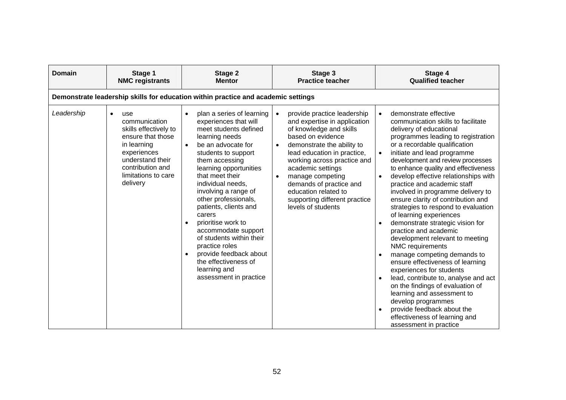| <b>Domain</b> | Stage 1<br><b>NMC registrants</b>                                                                                                                                                        | Stage 2<br><b>Mentor</b>                                                                                                                                                                                                                                                                                                                                                                                                                                                                                                           | Stage 3<br><b>Practice teacher</b>                                                                                                                                                                                                                                                                                                                                                   | Stage 4<br><b>Qualified teacher</b>                                                                                                                                                                                                                                                                                                                                                                                                                                                                                                                                                                                                                                                                                                                                                                                                                                                                                                                   |  |  |  |
|---------------|------------------------------------------------------------------------------------------------------------------------------------------------------------------------------------------|------------------------------------------------------------------------------------------------------------------------------------------------------------------------------------------------------------------------------------------------------------------------------------------------------------------------------------------------------------------------------------------------------------------------------------------------------------------------------------------------------------------------------------|--------------------------------------------------------------------------------------------------------------------------------------------------------------------------------------------------------------------------------------------------------------------------------------------------------------------------------------------------------------------------------------|-------------------------------------------------------------------------------------------------------------------------------------------------------------------------------------------------------------------------------------------------------------------------------------------------------------------------------------------------------------------------------------------------------------------------------------------------------------------------------------------------------------------------------------------------------------------------------------------------------------------------------------------------------------------------------------------------------------------------------------------------------------------------------------------------------------------------------------------------------------------------------------------------------------------------------------------------------|--|--|--|
|               | Demonstrate leadership skills for education within practice and academic settings                                                                                                        |                                                                                                                                                                                                                                                                                                                                                                                                                                                                                                                                    |                                                                                                                                                                                                                                                                                                                                                                                      |                                                                                                                                                                                                                                                                                                                                                                                                                                                                                                                                                                                                                                                                                                                                                                                                                                                                                                                                                       |  |  |  |
| Leadership    | use<br>$\bullet$<br>communication<br>skills effectively to<br>ensure that those<br>in learning<br>experiences<br>understand their<br>contribution and<br>limitations to care<br>delivery | plan a series of learning<br>experiences that will<br>meet students defined<br>learning needs<br>be an advocate for<br>$\bullet$<br>students to support<br>them accessing<br>learning opportunities<br>that meet their<br>individual needs,<br>involving a range of<br>other professionals,<br>patients, clients and<br>carers<br>prioritise work to<br>accommodate support<br>of students within their<br>practice roles<br>provide feedback about<br>$\bullet$<br>the effectiveness of<br>learning and<br>assessment in practice | provide practice leadership<br>$\bullet$<br>and expertise in application<br>of knowledge and skills<br>based on evidence<br>demonstrate the ability to<br>$\bullet$<br>lead education in practice,<br>working across practice and<br>academic settings<br>manage competing<br>demands of practice and<br>education related to<br>supporting different practice<br>levels of students | demonstrate effective<br>$\bullet$<br>communication skills to facilitate<br>delivery of educational<br>programmes leading to registration<br>or a recordable qualification<br>initiate and lead programme<br>development and review processes<br>to enhance quality and effectiveness<br>develop effective relationships with<br>practice and academic staff<br>involved in programme delivery to<br>ensure clarity of contribution and<br>strategies to respond to evaluation<br>of learning experiences<br>demonstrate strategic vision for<br>practice and academic<br>development relevant to meeting<br>NMC requirements<br>manage competing demands to<br>ensure effectiveness of learning<br>experiences for students<br>lead, contribute to, analyse and act<br>on the findings of evaluation of<br>learning and assessment to<br>develop programmes<br>provide feedback about the<br>effectiveness of learning and<br>assessment in practice |  |  |  |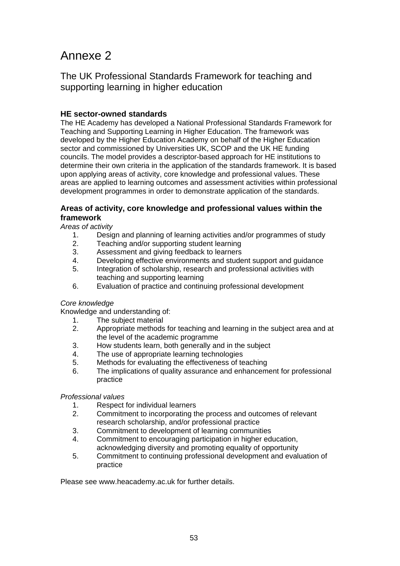# Annexe 2

The UK Professional Standards Framework for teaching and supporting learning in higher education

# **HE sector-owned standards**

The HE Academy has developed a National Professional Standards Framework for Teaching and Supporting Learning in Higher Education. The framework was developed by the Higher Education Academy on behalf of the Higher Education sector and commissioned by Universities UK, SCOP and the UK HE funding councils. The model provides a descriptor-based approach for HE institutions to determine their own criteria in the application of the standards framework. It is based upon applying areas of activity, core knowledge and professional values. These areas are applied to learning outcomes and assessment activities within professional development programmes in order to demonstrate application of the standards.

### **Areas of activity, core knowledge and professional values within the framework**

*Areas of activity* 

- 1. Design and planning of learning activities and/or programmes of study
- 2. Teaching and/or supporting student learning
- 3. Assessment and giving feedback to learners
- 4. Developing effective environments and student support and guidance
- 5. Integration of scholarship, research and professional activities with teaching and supporting learning
- 6. Evaluation of practice and continuing professional development

#### *Core knowledge*

Knowledge and understanding of:

- 1. The subject material
- 2. Appropriate methods for teaching and learning in the subject area and at the level of the academic programme
- 3. How students learn, both generally and in the subject
- 4. The use of appropriate learning technologies
- 5. Methods for evaluating the effectiveness of teaching
- 6. The implications of quality assurance and enhancement for professional practice

#### *Professional values*

- 1. Respect for individual learners
- 2. Commitment to incorporating the process and outcomes of relevant research scholarship, and/or professional practice
- 3. Commitment to development of learning communities
- 4. Commitment to encouraging participation in higher education, acknowledging diversity and promoting equality of opportunity
- 5. Commitment to continuing professional development and evaluation of practice

Please see www.heacademy.ac.uk for further details.